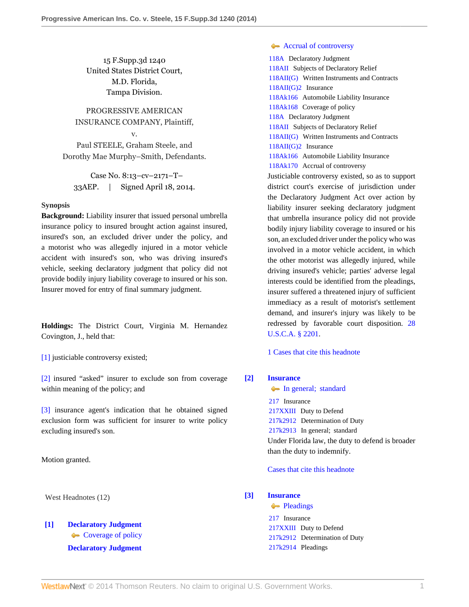15 F.Supp.3d 1240 United States District Court, M.D. Florida, Tampa Division.

PROGRESSIVE AMERICAN INSURANCE COMPANY, Plaintiff, v.

Paul STEELE, Graham Steele, and Dorothy Mae Murphy–Smith, Defendants.

Case No. 8:13–cv–2171–T– 33AEP. | Signed April 18, 2014.

#### **Synopsis**

**Background:** Liability insurer that issued personal umbrella insurance policy to insured brought action against insured, insured's son, an excluded driver under the policy, and a motorist who was allegedly injured in a motor vehicle accident with insured's son, who was driving insured's vehicle, seeking declaratory judgment that policy did not provide bodily injury liability coverage to insured or his son. Insurer moved for entry of final summary judgment.

**Holdings:** The District Court, Virginia M. Hernandez Covington, J., held that:

[\[1\]](#page-0-0) justiciable controversy existed;

[\[2\]](#page-2-0) insured "asked" insurer to exclude son from coverage within meaning of the policy; and

[\[3\]](#page-2-1) insurance agent's indication that he obtained signed exclusion form was sufficient for insurer to write policy excluding insured's son.

Motion granted.

West Headnotes (12)

# <span id="page-0-0"></span>**[\[1\]](#page-5-0) [Declaratory Judgment](http://www.westlaw.com/Browse/Home/KeyNumber/118A/View.html?docGuid=I393add3fcb1f11e39488c8f438320c70&originationContext=document&vr=3.0&rs=cblt1.0&transitionType=DocumentItem&contextData=(sc.History*oc.MyResearchHistoryDocuments)) [Coverage of policy](http://www.westlaw.com/Browse/Home/KeyNumber/118Ak168/View.html?docGuid=I393add3fcb1f11e39488c8f438320c70&originationContext=document&vr=3.0&rs=cblt1.0&transitionType=DocumentItem&contextData=(sc.History*oc.MyResearchHistoryDocuments)) [Declaratory Judgment](http://www.westlaw.com/Browse/Home/KeyNumber/118A/View.html?docGuid=I393add3fcb1f11e39488c8f438320c70&originationContext=document&vr=3.0&rs=cblt1.0&transitionType=DocumentItem&contextData=(sc.History*oc.MyResearchHistoryDocuments))**

## **[Accrual of controversy](http://www.westlaw.com/Browse/Home/KeyNumber/118Ak170/View.html?docGuid=I393add3fcb1f11e39488c8f438320c70&originationContext=document&vr=3.0&rs=cblt1.0&transitionType=DocumentItem&contextData=(sc.History*oc.MyResearchHistoryDocuments))**

[118A](http://www.westlaw.com/Browse/Home/KeyNumber/118A/View.html?docGuid=I393add3fcb1f11e39488c8f438320c70&originationContext=document&vr=3.0&rs=cblt1.0&transitionType=DocumentItem&contextData=(sc.History*oc.MyResearchHistoryDocuments)) Declaratory Judgment [118AII](http://www.westlaw.com/Browse/Home/KeyNumber/118AII/View.html?docGuid=I393add3fcb1f11e39488c8f438320c70&originationContext=document&vr=3.0&rs=cblt1.0&transitionType=DocumentItem&contextData=(sc.History*oc.MyResearchHistoryDocuments)) Subjects of Declaratory Relief [118AII\(G\)](http://www.westlaw.com/Browse/Home/KeyNumber/118AII(G)/View.html?docGuid=I393add3fcb1f11e39488c8f438320c70&originationContext=document&vr=3.0&rs=cblt1.0&transitionType=DocumentItem&contextData=(sc.History*oc.MyResearchHistoryDocuments)) Written Instruments and Contracts [118AII\(G\)2](http://www.westlaw.com/Browse/Home/KeyNumber/118AII(G)2/View.html?docGuid=I393add3fcb1f11e39488c8f438320c70&originationContext=document&vr=3.0&rs=cblt1.0&transitionType=DocumentItem&contextData=(sc.History*oc.MyResearchHistoryDocuments)) Insurance [118Ak166](http://www.westlaw.com/Browse/Home/KeyNumber/118Ak166/View.html?docGuid=I393add3fcb1f11e39488c8f438320c70&originationContext=document&vr=3.0&rs=cblt1.0&transitionType=DocumentItem&contextData=(sc.History*oc.MyResearchHistoryDocuments)) Automobile Liability Insurance [118Ak168](http://www.westlaw.com/Browse/Home/KeyNumber/118Ak168/View.html?docGuid=I393add3fcb1f11e39488c8f438320c70&originationContext=document&vr=3.0&rs=cblt1.0&transitionType=DocumentItem&contextData=(sc.History*oc.MyResearchHistoryDocuments)) Coverage of policy [118A](http://www.westlaw.com/Browse/Home/KeyNumber/118A/View.html?docGuid=I393add3fcb1f11e39488c8f438320c70&originationContext=document&vr=3.0&rs=cblt1.0&transitionType=DocumentItem&contextData=(sc.History*oc.MyResearchHistoryDocuments)) Declaratory Judgment [118AII](http://www.westlaw.com/Browse/Home/KeyNumber/118AII/View.html?docGuid=I393add3fcb1f11e39488c8f438320c70&originationContext=document&vr=3.0&rs=cblt1.0&transitionType=DocumentItem&contextData=(sc.History*oc.MyResearchHistoryDocuments)) Subjects of Declaratory Relief [118AII\(G\)](http://www.westlaw.com/Browse/Home/KeyNumber/118AII(G)/View.html?docGuid=I393add3fcb1f11e39488c8f438320c70&originationContext=document&vr=3.0&rs=cblt1.0&transitionType=DocumentItem&contextData=(sc.History*oc.MyResearchHistoryDocuments)) Written Instruments and Contracts [118AII\(G\)2](http://www.westlaw.com/Browse/Home/KeyNumber/118AII(G)2/View.html?docGuid=I393add3fcb1f11e39488c8f438320c70&originationContext=document&vr=3.0&rs=cblt1.0&transitionType=DocumentItem&contextData=(sc.History*oc.MyResearchHistoryDocuments)) Insurance [118Ak166](http://www.westlaw.com/Browse/Home/KeyNumber/118Ak166/View.html?docGuid=I393add3fcb1f11e39488c8f438320c70&originationContext=document&vr=3.0&rs=cblt1.0&transitionType=DocumentItem&contextData=(sc.History*oc.MyResearchHistoryDocuments)) Automobile Liability Insurance [118Ak170](http://www.westlaw.com/Browse/Home/KeyNumber/118Ak170/View.html?docGuid=I393add3fcb1f11e39488c8f438320c70&originationContext=document&vr=3.0&rs=cblt1.0&transitionType=DocumentItem&contextData=(sc.History*oc.MyResearchHistoryDocuments)) Accrual of controversy Justiciable controversy existed, so as to support

district court's exercise of jurisdiction under the Declaratory Judgment Act over action by liability insurer seeking declaratory judgment that umbrella insurance policy did not provide bodily injury liability coverage to insured or his son, an excluded driver under the policy who was involved in a motor vehicle accident, in which the other motorist was allegedly injured, while driving insured's vehicle; parties' adverse legal interests could be identified from the pleadings, insurer suffered a threatened injury of sufficient immediacy as a result of motorist's settlement demand, and insurer's injury was likely to be redressed by favorable court disposition. [28](http://www.westlaw.com/Link/Document/FullText?findType=L&pubNum=1000546&cite=28USCAS2201&originatingDoc=I393add3fcb1f11e39488c8f438320c70&refType=LQ&originationContext=document&vr=3.0&rs=cblt1.0&transitionType=DocumentItem&contextData=(sc.History*oc.MyResearchHistoryDocuments)) [U.S.C.A. § 2201](http://www.westlaw.com/Link/Document/FullText?findType=L&pubNum=1000546&cite=28USCAS2201&originatingDoc=I393add3fcb1f11e39488c8f438320c70&refType=LQ&originationContext=document&vr=3.0&rs=cblt1.0&transitionType=DocumentItem&contextData=(sc.History*oc.MyResearchHistoryDocuments)).

[1 Cases that cite this headnote](http://www.westlaw.com/Link/RelatedInformation/DocHeadnoteLink?docGuid=I393add3fcb1f11e39488c8f438320c70&headnoteId=203325230200120141117033239&originationContext=document&vr=3.0&rs=cblt1.0&transitionType=CitingReferences&contextData=(sc.History*oc.MyResearchHistoryDocuments))

## <span id="page-0-1"></span>**[\[2\]](#page-6-0) [Insurance](http://www.westlaw.com/Browse/Home/KeyNumber/217/View.html?docGuid=I393add3fcb1f11e39488c8f438320c70&originationContext=document&vr=3.0&rs=cblt1.0&transitionType=DocumentItem&contextData=(sc.History*oc.MyResearchHistoryDocuments))**

[In general; standard](http://www.westlaw.com/Browse/Home/KeyNumber/217k2913/View.html?docGuid=I393add3fcb1f11e39488c8f438320c70&originationContext=document&vr=3.0&rs=cblt1.0&transitionType=DocumentItem&contextData=(sc.History*oc.MyResearchHistoryDocuments)) [217](http://www.westlaw.com/Browse/Home/KeyNumber/217/View.html?docGuid=I393add3fcb1f11e39488c8f438320c70&originationContext=document&vr=3.0&rs=cblt1.0&transitionType=DocumentItem&contextData=(sc.History*oc.MyResearchHistoryDocuments)) Insurance [217XXIII](http://www.westlaw.com/Browse/Home/KeyNumber/217XXIII/View.html?docGuid=I393add3fcb1f11e39488c8f438320c70&originationContext=document&vr=3.0&rs=cblt1.0&transitionType=DocumentItem&contextData=(sc.History*oc.MyResearchHistoryDocuments)) Duty to Defend [217k2912](http://www.westlaw.com/Browse/Home/KeyNumber/217k2912/View.html?docGuid=I393add3fcb1f11e39488c8f438320c70&originationContext=document&vr=3.0&rs=cblt1.0&transitionType=DocumentItem&contextData=(sc.History*oc.MyResearchHistoryDocuments)) Determination of Duty [217k2913](http://www.westlaw.com/Browse/Home/KeyNumber/217k2913/View.html?docGuid=I393add3fcb1f11e39488c8f438320c70&originationContext=document&vr=3.0&rs=cblt1.0&transitionType=DocumentItem&contextData=(sc.History*oc.MyResearchHistoryDocuments)) In general; standard Under Florida law, the duty to defend is broader than the duty to indemnify.

[Cases that cite this headnote](http://www.westlaw.com/Link/RelatedInformation/DocHeadnoteLink?docGuid=I393add3fcb1f11e39488c8f438320c70&headnoteId=203325230200220141117033239&originationContext=document&vr=3.0&rs=cblt1.0&transitionType=CitingReferences&contextData=(sc.History*oc.MyResearchHistoryDocuments))

## <span id="page-0-2"></span>**[\[3\]](#page-6-1) [Insurance](http://www.westlaw.com/Browse/Home/KeyNumber/217/View.html?docGuid=I393add3fcb1f11e39488c8f438320c70&originationContext=document&vr=3.0&rs=cblt1.0&transitionType=DocumentItem&contextData=(sc.History*oc.MyResearchHistoryDocuments))**

**[Pleadings](http://www.westlaw.com/Browse/Home/KeyNumber/217k2914/View.html?docGuid=I393add3fcb1f11e39488c8f438320c70&originationContext=document&vr=3.0&rs=cblt1.0&transitionType=DocumentItem&contextData=(sc.History*oc.MyResearchHistoryDocuments))** 

[217](http://www.westlaw.com/Browse/Home/KeyNumber/217/View.html?docGuid=I393add3fcb1f11e39488c8f438320c70&originationContext=document&vr=3.0&rs=cblt1.0&transitionType=DocumentItem&contextData=(sc.History*oc.MyResearchHistoryDocuments)) Insurance [217XXIII](http://www.westlaw.com/Browse/Home/KeyNumber/217XXIII/View.html?docGuid=I393add3fcb1f11e39488c8f438320c70&originationContext=document&vr=3.0&rs=cblt1.0&transitionType=DocumentItem&contextData=(sc.History*oc.MyResearchHistoryDocuments)) Duty to Defend [217k2912](http://www.westlaw.com/Browse/Home/KeyNumber/217k2912/View.html?docGuid=I393add3fcb1f11e39488c8f438320c70&originationContext=document&vr=3.0&rs=cblt1.0&transitionType=DocumentItem&contextData=(sc.History*oc.MyResearchHistoryDocuments)) Determination of Duty [217k2914](http://www.westlaw.com/Browse/Home/KeyNumber/217k2914/View.html?docGuid=I393add3fcb1f11e39488c8f438320c70&originationContext=document&vr=3.0&rs=cblt1.0&transitionType=DocumentItem&contextData=(sc.History*oc.MyResearchHistoryDocuments)) Pleadings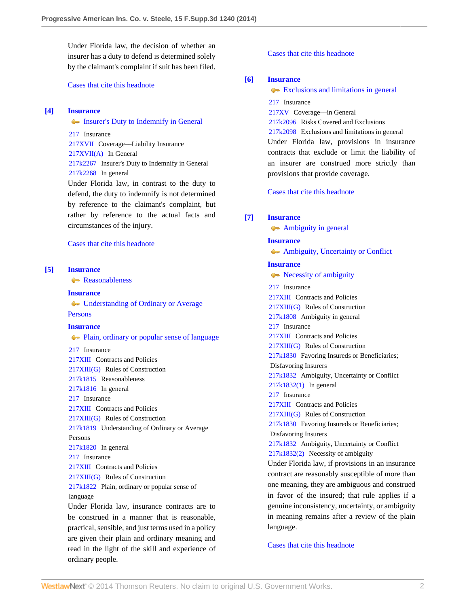Under Florida law, the decision of whether an insurer has a duty to defend is determined solely by the claimant's complaint if suit has been filed.

[Cases that cite this headnote](http://www.westlaw.com/Link/RelatedInformation/DocHeadnoteLink?docGuid=I393add3fcb1f11e39488c8f438320c70&headnoteId=203325230200320141117033239&originationContext=document&vr=3.0&rs=cblt1.0&transitionType=CitingReferences&contextData=(sc.History*oc.MyResearchHistoryDocuments))

#### <span id="page-1-0"></span>**[\[4\]](#page-6-2) [Insurance](http://www.westlaw.com/Browse/Home/KeyNumber/217/View.html?docGuid=I393add3fcb1f11e39488c8f438320c70&originationContext=document&vr=3.0&rs=cblt1.0&transitionType=DocumentItem&contextData=(sc.History*oc.MyResearchHistoryDocuments))**

[Insurer's Duty to Indemnify in General](http://www.westlaw.com/Browse/Home/KeyNumber/217k2267/View.html?docGuid=I393add3fcb1f11e39488c8f438320c70&originationContext=document&vr=3.0&rs=cblt1.0&transitionType=DocumentItem&contextData=(sc.History*oc.MyResearchHistoryDocuments))

[217](http://www.westlaw.com/Browse/Home/KeyNumber/217/View.html?docGuid=I393add3fcb1f11e39488c8f438320c70&originationContext=document&vr=3.0&rs=cblt1.0&transitionType=DocumentItem&contextData=(sc.History*oc.MyResearchHistoryDocuments)) Insurance [217XVII](http://www.westlaw.com/Browse/Home/KeyNumber/217XVII/View.html?docGuid=I393add3fcb1f11e39488c8f438320c70&originationContext=document&vr=3.0&rs=cblt1.0&transitionType=DocumentItem&contextData=(sc.History*oc.MyResearchHistoryDocuments)) Coverage––Liability Insurance [217XVII\(A\)](http://www.westlaw.com/Browse/Home/KeyNumber/217XVII(A)/View.html?docGuid=I393add3fcb1f11e39488c8f438320c70&originationContext=document&vr=3.0&rs=cblt1.0&transitionType=DocumentItem&contextData=(sc.History*oc.MyResearchHistoryDocuments)) In General [217k2267](http://www.westlaw.com/Browse/Home/KeyNumber/217k2267/View.html?docGuid=I393add3fcb1f11e39488c8f438320c70&originationContext=document&vr=3.0&rs=cblt1.0&transitionType=DocumentItem&contextData=(sc.History*oc.MyResearchHistoryDocuments)) Insurer's Duty to Indemnify in General [217k2268](http://www.westlaw.com/Browse/Home/KeyNumber/217k2268/View.html?docGuid=I393add3fcb1f11e39488c8f438320c70&originationContext=document&vr=3.0&rs=cblt1.0&transitionType=DocumentItem&contextData=(sc.History*oc.MyResearchHistoryDocuments)) In general Under Florida law, in contrast to the duty to

defend, the duty to indemnify is not determined by reference to the claimant's complaint, but rather by reference to the actual facts and circumstances of the injury.

[Cases that cite this headnote](http://www.westlaw.com/Link/RelatedInformation/DocHeadnoteLink?docGuid=I393add3fcb1f11e39488c8f438320c70&headnoteId=203325230200420141117033239&originationContext=document&vr=3.0&rs=cblt1.0&transitionType=CitingReferences&contextData=(sc.History*oc.MyResearchHistoryDocuments))

### <span id="page-1-1"></span>**[\[5\]](#page-6-3) [Insurance](http://www.westlaw.com/Browse/Home/KeyNumber/217/View.html?docGuid=I393add3fcb1f11e39488c8f438320c70&originationContext=document&vr=3.0&rs=cblt1.0&transitionType=DocumentItem&contextData=(sc.History*oc.MyResearchHistoryDocuments))**

[Reasonableness](http://www.westlaw.com/Browse/Home/KeyNumber/217k1815/View.html?docGuid=I393add3fcb1f11e39488c8f438320c70&originationContext=document&vr=3.0&rs=cblt1.0&transitionType=DocumentItem&contextData=(sc.History*oc.MyResearchHistoryDocuments))

#### **[Insurance](http://www.westlaw.com/Browse/Home/KeyNumber/217/View.html?docGuid=I393add3fcb1f11e39488c8f438320c70&originationContext=document&vr=3.0&rs=cblt1.0&transitionType=DocumentItem&contextData=(sc.History*oc.MyResearchHistoryDocuments))**

[Understanding of Ordinary or Average](http://www.westlaw.com/Browse/Home/KeyNumber/217k1819/View.html?docGuid=I393add3fcb1f11e39488c8f438320c70&originationContext=document&vr=3.0&rs=cblt1.0&transitionType=DocumentItem&contextData=(sc.History*oc.MyResearchHistoryDocuments)) [Persons](http://www.westlaw.com/Browse/Home/KeyNumber/217k1819/View.html?docGuid=I393add3fcb1f11e39488c8f438320c70&originationContext=document&vr=3.0&rs=cblt1.0&transitionType=DocumentItem&contextData=(sc.History*oc.MyResearchHistoryDocuments))

## **[Insurance](http://www.westlaw.com/Browse/Home/KeyNumber/217/View.html?docGuid=I393add3fcb1f11e39488c8f438320c70&originationContext=document&vr=3.0&rs=cblt1.0&transitionType=DocumentItem&contextData=(sc.History*oc.MyResearchHistoryDocuments))**

[Plain, ordinary or popular sense of language](http://www.westlaw.com/Browse/Home/KeyNumber/217k1822/View.html?docGuid=I393add3fcb1f11e39488c8f438320c70&originationContext=document&vr=3.0&rs=cblt1.0&transitionType=DocumentItem&contextData=(sc.History*oc.MyResearchHistoryDocuments))

[217](http://www.westlaw.com/Browse/Home/KeyNumber/217/View.html?docGuid=I393add3fcb1f11e39488c8f438320c70&originationContext=document&vr=3.0&rs=cblt1.0&transitionType=DocumentItem&contextData=(sc.History*oc.MyResearchHistoryDocuments)) Insurance

[217XIII](http://www.westlaw.com/Browse/Home/KeyNumber/217XIII/View.html?docGuid=I393add3fcb1f11e39488c8f438320c70&originationContext=document&vr=3.0&rs=cblt1.0&transitionType=DocumentItem&contextData=(sc.History*oc.MyResearchHistoryDocuments)) Contracts and Policies [217XIII\(G\)](http://www.westlaw.com/Browse/Home/KeyNumber/217XIII(G)/View.html?docGuid=I393add3fcb1f11e39488c8f438320c70&originationContext=document&vr=3.0&rs=cblt1.0&transitionType=DocumentItem&contextData=(sc.History*oc.MyResearchHistoryDocuments)) Rules of Construction [217k1815](http://www.westlaw.com/Browse/Home/KeyNumber/217k1815/View.html?docGuid=I393add3fcb1f11e39488c8f438320c70&originationContext=document&vr=3.0&rs=cblt1.0&transitionType=DocumentItem&contextData=(sc.History*oc.MyResearchHistoryDocuments)) Reasonableness [217k1816](http://www.westlaw.com/Browse/Home/KeyNumber/217k1816/View.html?docGuid=I393add3fcb1f11e39488c8f438320c70&originationContext=document&vr=3.0&rs=cblt1.0&transitionType=DocumentItem&contextData=(sc.History*oc.MyResearchHistoryDocuments)) In general [217](http://www.westlaw.com/Browse/Home/KeyNumber/217/View.html?docGuid=I393add3fcb1f11e39488c8f438320c70&originationContext=document&vr=3.0&rs=cblt1.0&transitionType=DocumentItem&contextData=(sc.History*oc.MyResearchHistoryDocuments)) Insurance [217XIII](http://www.westlaw.com/Browse/Home/KeyNumber/217XIII/View.html?docGuid=I393add3fcb1f11e39488c8f438320c70&originationContext=document&vr=3.0&rs=cblt1.0&transitionType=DocumentItem&contextData=(sc.History*oc.MyResearchHistoryDocuments)) Contracts and Policies [217XIII\(G\)](http://www.westlaw.com/Browse/Home/KeyNumber/217XIII(G)/View.html?docGuid=I393add3fcb1f11e39488c8f438320c70&originationContext=document&vr=3.0&rs=cblt1.0&transitionType=DocumentItem&contextData=(sc.History*oc.MyResearchHistoryDocuments)) Rules of Construction [217k1819](http://www.westlaw.com/Browse/Home/KeyNumber/217k1819/View.html?docGuid=I393add3fcb1f11e39488c8f438320c70&originationContext=document&vr=3.0&rs=cblt1.0&transitionType=DocumentItem&contextData=(sc.History*oc.MyResearchHistoryDocuments)) Understanding of Ordinary or Average Persons [217k1820](http://www.westlaw.com/Browse/Home/KeyNumber/217k1820/View.html?docGuid=I393add3fcb1f11e39488c8f438320c70&originationContext=document&vr=3.0&rs=cblt1.0&transitionType=DocumentItem&contextData=(sc.History*oc.MyResearchHistoryDocuments)) In general [217](http://www.westlaw.com/Browse/Home/KeyNumber/217/View.html?docGuid=I393add3fcb1f11e39488c8f438320c70&originationContext=document&vr=3.0&rs=cblt1.0&transitionType=DocumentItem&contextData=(sc.History*oc.MyResearchHistoryDocuments)) Insurance [217XIII](http://www.westlaw.com/Browse/Home/KeyNumber/217XIII/View.html?docGuid=I393add3fcb1f11e39488c8f438320c70&originationContext=document&vr=3.0&rs=cblt1.0&transitionType=DocumentItem&contextData=(sc.History*oc.MyResearchHistoryDocuments)) Contracts and Policies [217XIII\(G\)](http://www.westlaw.com/Browse/Home/KeyNumber/217XIII(G)/View.html?docGuid=I393add3fcb1f11e39488c8f438320c70&originationContext=document&vr=3.0&rs=cblt1.0&transitionType=DocumentItem&contextData=(sc.History*oc.MyResearchHistoryDocuments)) Rules of Construction [217k1822](http://www.westlaw.com/Browse/Home/KeyNumber/217k1822/View.html?docGuid=I393add3fcb1f11e39488c8f438320c70&originationContext=document&vr=3.0&rs=cblt1.0&transitionType=DocumentItem&contextData=(sc.History*oc.MyResearchHistoryDocuments)) Plain, ordinary or popular sense of language Under Florida law, insurance contracts are to

be construed in a manner that is reasonable, practical, sensible, and just terms used in a policy are given their plain and ordinary meaning and read in the light of the skill and experience of ordinary people.

#### [Cases that cite this headnote](http://www.westlaw.com/Link/RelatedInformation/DocHeadnoteLink?docGuid=I393add3fcb1f11e39488c8f438320c70&headnoteId=203325230200520141117033239&originationContext=document&vr=3.0&rs=cblt1.0&transitionType=CitingReferences&contextData=(sc.History*oc.MyResearchHistoryDocuments))

### <span id="page-1-2"></span>**[\[6\]](#page-6-4) [Insurance](http://www.westlaw.com/Browse/Home/KeyNumber/217/View.html?docGuid=I393add3fcb1f11e39488c8f438320c70&originationContext=document&vr=3.0&rs=cblt1.0&transitionType=DocumentItem&contextData=(sc.History*oc.MyResearchHistoryDocuments))**

**[Exclusions and limitations in general](http://www.westlaw.com/Browse/Home/KeyNumber/217k2098/View.html?docGuid=I393add3fcb1f11e39488c8f438320c70&originationContext=document&vr=3.0&rs=cblt1.0&transitionType=DocumentItem&contextData=(sc.History*oc.MyResearchHistoryDocuments))** 

- [217](http://www.westlaw.com/Browse/Home/KeyNumber/217/View.html?docGuid=I393add3fcb1f11e39488c8f438320c70&originationContext=document&vr=3.0&rs=cblt1.0&transitionType=DocumentItem&contextData=(sc.History*oc.MyResearchHistoryDocuments)) Insurance
- [217XV](http://www.westlaw.com/Browse/Home/KeyNumber/217XV/View.html?docGuid=I393add3fcb1f11e39488c8f438320c70&originationContext=document&vr=3.0&rs=cblt1.0&transitionType=DocumentItem&contextData=(sc.History*oc.MyResearchHistoryDocuments)) Coverage––in General
- [217k2096](http://www.westlaw.com/Browse/Home/KeyNumber/217k2096/View.html?docGuid=I393add3fcb1f11e39488c8f438320c70&originationContext=document&vr=3.0&rs=cblt1.0&transitionType=DocumentItem&contextData=(sc.History*oc.MyResearchHistoryDocuments)) Risks Covered and Exclusions
- [217k2098](http://www.westlaw.com/Browse/Home/KeyNumber/217k2098/View.html?docGuid=I393add3fcb1f11e39488c8f438320c70&originationContext=document&vr=3.0&rs=cblt1.0&transitionType=DocumentItem&contextData=(sc.History*oc.MyResearchHistoryDocuments)) Exclusions and limitations in general

Under Florida law, provisions in insurance contracts that exclude or limit the liability of an insurer are construed more strictly than provisions that provide coverage.

[Cases that cite this headnote](http://www.westlaw.com/Link/RelatedInformation/DocHeadnoteLink?docGuid=I393add3fcb1f11e39488c8f438320c70&headnoteId=203325230200620141117033239&originationContext=document&vr=3.0&rs=cblt1.0&transitionType=CitingReferences&contextData=(sc.History*oc.MyResearchHistoryDocuments))

## <span id="page-1-3"></span>**[\[7\]](#page-6-5) [Insurance](http://www.westlaw.com/Browse/Home/KeyNumber/217/View.html?docGuid=I393add3fcb1f11e39488c8f438320c70&originationContext=document&vr=3.0&rs=cblt1.0&transitionType=DocumentItem&contextData=(sc.History*oc.MyResearchHistoryDocuments))**

[Ambiguity in general](http://www.westlaw.com/Browse/Home/KeyNumber/217k1808/View.html?docGuid=I393add3fcb1f11e39488c8f438320c70&originationContext=document&vr=3.0&rs=cblt1.0&transitionType=DocumentItem&contextData=(sc.History*oc.MyResearchHistoryDocuments))

#### **[Insurance](http://www.westlaw.com/Browse/Home/KeyNumber/217/View.html?docGuid=I393add3fcb1f11e39488c8f438320c70&originationContext=document&vr=3.0&rs=cblt1.0&transitionType=DocumentItem&contextData=(sc.History*oc.MyResearchHistoryDocuments))**

**[Ambiguity, Uncertainty or Conflict](http://www.westlaw.com/Browse/Home/KeyNumber/217k1832/View.html?docGuid=I393add3fcb1f11e39488c8f438320c70&originationContext=document&vr=3.0&rs=cblt1.0&transitionType=DocumentItem&contextData=(sc.History*oc.MyResearchHistoryDocuments))** 

**[Insurance](http://www.westlaw.com/Browse/Home/KeyNumber/217/View.html?docGuid=I393add3fcb1f11e39488c8f438320c70&originationContext=document&vr=3.0&rs=cblt1.0&transitionType=DocumentItem&contextData=(sc.History*oc.MyResearchHistoryDocuments))**  $\blacklozenge$  [Necessity of ambiguity](http://www.westlaw.com/Browse/Home/KeyNumber/217k1832(2)/View.html?docGuid=I393add3fcb1f11e39488c8f438320c70&originationContext=document&vr=3.0&rs=cblt1.0&transitionType=DocumentItem&contextData=(sc.History*oc.MyResearchHistoryDocuments))

[217](http://www.westlaw.com/Browse/Home/KeyNumber/217/View.html?docGuid=I393add3fcb1f11e39488c8f438320c70&originationContext=document&vr=3.0&rs=cblt1.0&transitionType=DocumentItem&contextData=(sc.History*oc.MyResearchHistoryDocuments)) Insurance [217XIII](http://www.westlaw.com/Browse/Home/KeyNumber/217XIII/View.html?docGuid=I393add3fcb1f11e39488c8f438320c70&originationContext=document&vr=3.0&rs=cblt1.0&transitionType=DocumentItem&contextData=(sc.History*oc.MyResearchHistoryDocuments)) Contracts and Policies [217XIII\(G\)](http://www.westlaw.com/Browse/Home/KeyNumber/217XIII(G)/View.html?docGuid=I393add3fcb1f11e39488c8f438320c70&originationContext=document&vr=3.0&rs=cblt1.0&transitionType=DocumentItem&contextData=(sc.History*oc.MyResearchHistoryDocuments)) Rules of Construction [217k1808](http://www.westlaw.com/Browse/Home/KeyNumber/217k1808/View.html?docGuid=I393add3fcb1f11e39488c8f438320c70&originationContext=document&vr=3.0&rs=cblt1.0&transitionType=DocumentItem&contextData=(sc.History*oc.MyResearchHistoryDocuments)) Ambiguity in general [217](http://www.westlaw.com/Browse/Home/KeyNumber/217/View.html?docGuid=I393add3fcb1f11e39488c8f438320c70&originationContext=document&vr=3.0&rs=cblt1.0&transitionType=DocumentItem&contextData=(sc.History*oc.MyResearchHistoryDocuments)) Insurance [217XIII](http://www.westlaw.com/Browse/Home/KeyNumber/217XIII/View.html?docGuid=I393add3fcb1f11e39488c8f438320c70&originationContext=document&vr=3.0&rs=cblt1.0&transitionType=DocumentItem&contextData=(sc.History*oc.MyResearchHistoryDocuments)) Contracts and Policies [217XIII\(G\)](http://www.westlaw.com/Browse/Home/KeyNumber/217XIII(G)/View.html?docGuid=I393add3fcb1f11e39488c8f438320c70&originationContext=document&vr=3.0&rs=cblt1.0&transitionType=DocumentItem&contextData=(sc.History*oc.MyResearchHistoryDocuments)) Rules of Construction [217k1830](http://www.westlaw.com/Browse/Home/KeyNumber/217k1830/View.html?docGuid=I393add3fcb1f11e39488c8f438320c70&originationContext=document&vr=3.0&rs=cblt1.0&transitionType=DocumentItem&contextData=(sc.History*oc.MyResearchHistoryDocuments)) Favoring Insureds or Beneficiaries; Disfavoring Insurers [217k1832](http://www.westlaw.com/Browse/Home/KeyNumber/217k1832/View.html?docGuid=I393add3fcb1f11e39488c8f438320c70&originationContext=document&vr=3.0&rs=cblt1.0&transitionType=DocumentItem&contextData=(sc.History*oc.MyResearchHistoryDocuments)) Ambiguity, Uncertainty or Conflict [217k1832\(1\)](http://www.westlaw.com/Browse/Home/KeyNumber/217k1832(1)/View.html?docGuid=I393add3fcb1f11e39488c8f438320c70&originationContext=document&vr=3.0&rs=cblt1.0&transitionType=DocumentItem&contextData=(sc.History*oc.MyResearchHistoryDocuments)) In general [217](http://www.westlaw.com/Browse/Home/KeyNumber/217/View.html?docGuid=I393add3fcb1f11e39488c8f438320c70&originationContext=document&vr=3.0&rs=cblt1.0&transitionType=DocumentItem&contextData=(sc.History*oc.MyResearchHistoryDocuments)) Insurance [217XIII](http://www.westlaw.com/Browse/Home/KeyNumber/217XIII/View.html?docGuid=I393add3fcb1f11e39488c8f438320c70&originationContext=document&vr=3.0&rs=cblt1.0&transitionType=DocumentItem&contextData=(sc.History*oc.MyResearchHistoryDocuments)) Contracts and Policies [217XIII\(G\)](http://www.westlaw.com/Browse/Home/KeyNumber/217XIII(G)/View.html?docGuid=I393add3fcb1f11e39488c8f438320c70&originationContext=document&vr=3.0&rs=cblt1.0&transitionType=DocumentItem&contextData=(sc.History*oc.MyResearchHistoryDocuments)) Rules of Construction [217k1830](http://www.westlaw.com/Browse/Home/KeyNumber/217k1830/View.html?docGuid=I393add3fcb1f11e39488c8f438320c70&originationContext=document&vr=3.0&rs=cblt1.0&transitionType=DocumentItem&contextData=(sc.History*oc.MyResearchHistoryDocuments)) Favoring Insureds or Beneficiaries; Disfavoring Insurers [217k1832](http://www.westlaw.com/Browse/Home/KeyNumber/217k1832/View.html?docGuid=I393add3fcb1f11e39488c8f438320c70&originationContext=document&vr=3.0&rs=cblt1.0&transitionType=DocumentItem&contextData=(sc.History*oc.MyResearchHistoryDocuments)) Ambiguity, Uncertainty or Conflict [217k1832\(2\)](http://www.westlaw.com/Browse/Home/KeyNumber/217k1832(2)/View.html?docGuid=I393add3fcb1f11e39488c8f438320c70&originationContext=document&vr=3.0&rs=cblt1.0&transitionType=DocumentItem&contextData=(sc.History*oc.MyResearchHistoryDocuments)) Necessity of ambiguity Under Florida law, if provisions in an insurance

contract are reasonably susceptible of more than one meaning, they are ambiguous and construed in favor of the insured; that rule applies if a genuine inconsistency, uncertainty, or ambiguity in meaning remains after a review of the plain language.

[Cases that cite this headnote](http://www.westlaw.com/Link/RelatedInformation/DocHeadnoteLink?docGuid=I393add3fcb1f11e39488c8f438320c70&headnoteId=203325230200720141117033239&originationContext=document&vr=3.0&rs=cblt1.0&transitionType=CitingReferences&contextData=(sc.History*oc.MyResearchHistoryDocuments))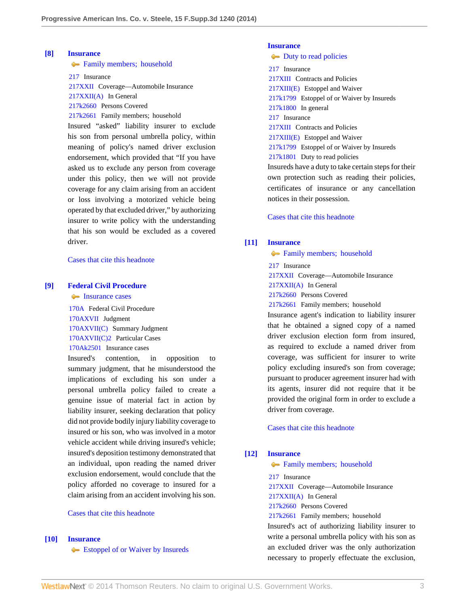# <span id="page-2-0"></span>**[\[8\]](#page-7-0) [Insurance](http://www.westlaw.com/Browse/Home/KeyNumber/217/View.html?docGuid=I393add3fcb1f11e39488c8f438320c70&originationContext=document&vr=3.0&rs=cblt1.0&transitionType=DocumentItem&contextData=(sc.History*oc.MyResearchHistoryDocuments))**

**[Family members; household](http://www.westlaw.com/Browse/Home/KeyNumber/217k2661/View.html?docGuid=I393add3fcb1f11e39488c8f438320c70&originationContext=document&vr=3.0&rs=cblt1.0&transitionType=DocumentItem&contextData=(sc.History*oc.MyResearchHistoryDocuments))** 

[217](http://www.westlaw.com/Browse/Home/KeyNumber/217/View.html?docGuid=I393add3fcb1f11e39488c8f438320c70&originationContext=document&vr=3.0&rs=cblt1.0&transitionType=DocumentItem&contextData=(sc.History*oc.MyResearchHistoryDocuments)) Insurance

[217XXII](http://www.westlaw.com/Browse/Home/KeyNumber/217XXII/View.html?docGuid=I393add3fcb1f11e39488c8f438320c70&originationContext=document&vr=3.0&rs=cblt1.0&transitionType=DocumentItem&contextData=(sc.History*oc.MyResearchHistoryDocuments)) Coverage––Automobile Insurance

[217XXII\(A\)](http://www.westlaw.com/Browse/Home/KeyNumber/217XXII(A)/View.html?docGuid=I393add3fcb1f11e39488c8f438320c70&originationContext=document&vr=3.0&rs=cblt1.0&transitionType=DocumentItem&contextData=(sc.History*oc.MyResearchHistoryDocuments)) In General

[217k2660](http://www.westlaw.com/Browse/Home/KeyNumber/217k2660/View.html?docGuid=I393add3fcb1f11e39488c8f438320c70&originationContext=document&vr=3.0&rs=cblt1.0&transitionType=DocumentItem&contextData=(sc.History*oc.MyResearchHistoryDocuments)) Persons Covered

[217k2661](http://www.westlaw.com/Browse/Home/KeyNumber/217k2661/View.html?docGuid=I393add3fcb1f11e39488c8f438320c70&originationContext=document&vr=3.0&rs=cblt1.0&transitionType=DocumentItem&contextData=(sc.History*oc.MyResearchHistoryDocuments)) Family members; household

Insured "asked" liability insurer to exclude his son from personal umbrella policy, within meaning of policy's named driver exclusion endorsement, which provided that "If you have asked us to exclude any person from coverage under this policy, then we will not provide coverage for any claim arising from an accident or loss involving a motorized vehicle being operated by that excluded driver," by authorizing insurer to write policy with the understanding that his son would be excluded as a covered driver.

[Cases that cite this headnote](http://www.westlaw.com/Link/RelatedInformation/DocHeadnoteLink?docGuid=I393add3fcb1f11e39488c8f438320c70&headnoteId=203325230200820141117033239&originationContext=document&vr=3.0&rs=cblt1.0&transitionType=CitingReferences&contextData=(sc.History*oc.MyResearchHistoryDocuments))

## <span id="page-2-2"></span>**[\[9\]](#page-8-0) [Federal Civil Procedure](http://www.westlaw.com/Browse/Home/KeyNumber/170A/View.html?docGuid=I393add3fcb1f11e39488c8f438320c70&originationContext=document&vr=3.0&rs=cblt1.0&transitionType=DocumentItem&contextData=(sc.History*oc.MyResearchHistoryDocuments))**

• [Insurance cases](http://www.westlaw.com/Browse/Home/KeyNumber/170Ak2501/View.html?docGuid=I393add3fcb1f11e39488c8f438320c70&originationContext=document&vr=3.0&rs=cblt1.0&transitionType=DocumentItem&contextData=(sc.History*oc.MyResearchHistoryDocuments))

[170A](http://www.westlaw.com/Browse/Home/KeyNumber/170A/View.html?docGuid=I393add3fcb1f11e39488c8f438320c70&originationContext=document&vr=3.0&rs=cblt1.0&transitionType=DocumentItem&contextData=(sc.History*oc.MyResearchHistoryDocuments)) Federal Civil Procedure [170AXVII](http://www.westlaw.com/Browse/Home/KeyNumber/170AXVII/View.html?docGuid=I393add3fcb1f11e39488c8f438320c70&originationContext=document&vr=3.0&rs=cblt1.0&transitionType=DocumentItem&contextData=(sc.History*oc.MyResearchHistoryDocuments)) Judgment [170AXVII\(C\)](http://www.westlaw.com/Browse/Home/KeyNumber/170AXVII(C)/View.html?docGuid=I393add3fcb1f11e39488c8f438320c70&originationContext=document&vr=3.0&rs=cblt1.0&transitionType=DocumentItem&contextData=(sc.History*oc.MyResearchHistoryDocuments)) Summary Judgment [170AXVII\(C\)2](http://www.westlaw.com/Browse/Home/KeyNumber/170AXVII(C)2/View.html?docGuid=I393add3fcb1f11e39488c8f438320c70&originationContext=document&vr=3.0&rs=cblt1.0&transitionType=DocumentItem&contextData=(sc.History*oc.MyResearchHistoryDocuments)) Particular Cases [170Ak2501](http://www.westlaw.com/Browse/Home/KeyNumber/170Ak2501/View.html?docGuid=I393add3fcb1f11e39488c8f438320c70&originationContext=document&vr=3.0&rs=cblt1.0&transitionType=DocumentItem&contextData=(sc.History*oc.MyResearchHistoryDocuments)) Insurance cases

Insured's contention, in opposition to summary judgment, that he misunderstood the implications of excluding his son under a personal umbrella policy failed to create a genuine issue of material fact in action by liability insurer, seeking declaration that policy did not provide bodily injury liability coverage to insured or his son, who was involved in a motor vehicle accident while driving insured's vehicle; insured's deposition testimony demonstrated that an individual, upon reading the named driver exclusion endorsement, would conclude that the policy afforded no coverage to insured for a claim arising from an accident involving his son.

#### [Cases that cite this headnote](http://www.westlaw.com/Link/RelatedInformation/DocHeadnoteLink?docGuid=I393add3fcb1f11e39488c8f438320c70&headnoteId=203325230200920141117033239&originationContext=document&vr=3.0&rs=cblt1.0&transitionType=CitingReferences&contextData=(sc.History*oc.MyResearchHistoryDocuments))

### <span id="page-2-3"></span>**[\[10\]](#page-8-1) [Insurance](http://www.westlaw.com/Browse/Home/KeyNumber/217/View.html?docGuid=I393add3fcb1f11e39488c8f438320c70&originationContext=document&vr=3.0&rs=cblt1.0&transitionType=DocumentItem&contextData=(sc.History*oc.MyResearchHistoryDocuments))**

**External Section** [Estoppel of or Waiver by Insureds](http://www.westlaw.com/Browse/Home/KeyNumber/217k1799/View.html?docGuid=I393add3fcb1f11e39488c8f438320c70&originationContext=document&vr=3.0&rs=cblt1.0&transitionType=DocumentItem&contextData=(sc.History*oc.MyResearchHistoryDocuments))

### **[Insurance](http://www.westlaw.com/Browse/Home/KeyNumber/217/View.html?docGuid=I393add3fcb1f11e39488c8f438320c70&originationContext=document&vr=3.0&rs=cblt1.0&transitionType=DocumentItem&contextData=(sc.History*oc.MyResearchHistoryDocuments))**

 $\rightarrow$  [Duty to read policies](http://www.westlaw.com/Browse/Home/KeyNumber/217k1801/View.html?docGuid=I393add3fcb1f11e39488c8f438320c70&originationContext=document&vr=3.0&rs=cblt1.0&transitionType=DocumentItem&contextData=(sc.History*oc.MyResearchHistoryDocuments)) [217](http://www.westlaw.com/Browse/Home/KeyNumber/217/View.html?docGuid=I393add3fcb1f11e39488c8f438320c70&originationContext=document&vr=3.0&rs=cblt1.0&transitionType=DocumentItem&contextData=(sc.History*oc.MyResearchHistoryDocuments)) Insurance [217XIII](http://www.westlaw.com/Browse/Home/KeyNumber/217XIII/View.html?docGuid=I393add3fcb1f11e39488c8f438320c70&originationContext=document&vr=3.0&rs=cblt1.0&transitionType=DocumentItem&contextData=(sc.History*oc.MyResearchHistoryDocuments)) Contracts and Policies [217XIII\(E\)](http://www.westlaw.com/Browse/Home/KeyNumber/217XIII(E)/View.html?docGuid=I393add3fcb1f11e39488c8f438320c70&originationContext=document&vr=3.0&rs=cblt1.0&transitionType=DocumentItem&contextData=(sc.History*oc.MyResearchHistoryDocuments)) Estoppel and Waiver [217k1799](http://www.westlaw.com/Browse/Home/KeyNumber/217k1799/View.html?docGuid=I393add3fcb1f11e39488c8f438320c70&originationContext=document&vr=3.0&rs=cblt1.0&transitionType=DocumentItem&contextData=(sc.History*oc.MyResearchHistoryDocuments)) Estoppel of or Waiver by Insureds [217k1800](http://www.westlaw.com/Browse/Home/KeyNumber/217k1800/View.html?docGuid=I393add3fcb1f11e39488c8f438320c70&originationContext=document&vr=3.0&rs=cblt1.0&transitionType=DocumentItem&contextData=(sc.History*oc.MyResearchHistoryDocuments)) In general [217](http://www.westlaw.com/Browse/Home/KeyNumber/217/View.html?docGuid=I393add3fcb1f11e39488c8f438320c70&originationContext=document&vr=3.0&rs=cblt1.0&transitionType=DocumentItem&contextData=(sc.History*oc.MyResearchHistoryDocuments)) Insurance [217XIII](http://www.westlaw.com/Browse/Home/KeyNumber/217XIII/View.html?docGuid=I393add3fcb1f11e39488c8f438320c70&originationContext=document&vr=3.0&rs=cblt1.0&transitionType=DocumentItem&contextData=(sc.History*oc.MyResearchHistoryDocuments)) Contracts and Policies [217XIII\(E\)](http://www.westlaw.com/Browse/Home/KeyNumber/217XIII(E)/View.html?docGuid=I393add3fcb1f11e39488c8f438320c70&originationContext=document&vr=3.0&rs=cblt1.0&transitionType=DocumentItem&contextData=(sc.History*oc.MyResearchHistoryDocuments)) Estoppel and Waiver [217k1799](http://www.westlaw.com/Browse/Home/KeyNumber/217k1799/View.html?docGuid=I393add3fcb1f11e39488c8f438320c70&originationContext=document&vr=3.0&rs=cblt1.0&transitionType=DocumentItem&contextData=(sc.History*oc.MyResearchHistoryDocuments)) Estoppel of or Waiver by Insureds [217k1801](http://www.westlaw.com/Browse/Home/KeyNumber/217k1801/View.html?docGuid=I393add3fcb1f11e39488c8f438320c70&originationContext=document&vr=3.0&rs=cblt1.0&transitionType=DocumentItem&contextData=(sc.History*oc.MyResearchHistoryDocuments)) Duty to read policies Insureds have a duty to take certain steps for their own protection such as reading their policies, certificates of insurance or any cancellation notices in their possession.

[Cases that cite this headnote](http://www.westlaw.com/Link/RelatedInformation/DocHeadnoteLink?docGuid=I393add3fcb1f11e39488c8f438320c70&headnoteId=203325230201020141117033239&originationContext=document&vr=3.0&rs=cblt1.0&transitionType=CitingReferences&contextData=(sc.History*oc.MyResearchHistoryDocuments))

#### <span id="page-2-1"></span>**[\[11\]](#page-9-0) [Insurance](http://www.westlaw.com/Browse/Home/KeyNumber/217/View.html?docGuid=I393add3fcb1f11e39488c8f438320c70&originationContext=document&vr=3.0&rs=cblt1.0&transitionType=DocumentItem&contextData=(sc.History*oc.MyResearchHistoryDocuments))**

**[Family members; household](http://www.westlaw.com/Browse/Home/KeyNumber/217k2661/View.html?docGuid=I393add3fcb1f11e39488c8f438320c70&originationContext=document&vr=3.0&rs=cblt1.0&transitionType=DocumentItem&contextData=(sc.History*oc.MyResearchHistoryDocuments))** 

[217](http://www.westlaw.com/Browse/Home/KeyNumber/217/View.html?docGuid=I393add3fcb1f11e39488c8f438320c70&originationContext=document&vr=3.0&rs=cblt1.0&transitionType=DocumentItem&contextData=(sc.History*oc.MyResearchHistoryDocuments)) Insurance

[217XXII](http://www.westlaw.com/Browse/Home/KeyNumber/217XXII/View.html?docGuid=I393add3fcb1f11e39488c8f438320c70&originationContext=document&vr=3.0&rs=cblt1.0&transitionType=DocumentItem&contextData=(sc.History*oc.MyResearchHistoryDocuments)) Coverage––Automobile Insurance

[217XXII\(A\)](http://www.westlaw.com/Browse/Home/KeyNumber/217XXII(A)/View.html?docGuid=I393add3fcb1f11e39488c8f438320c70&originationContext=document&vr=3.0&rs=cblt1.0&transitionType=DocumentItem&contextData=(sc.History*oc.MyResearchHistoryDocuments)) In General

[217k2660](http://www.westlaw.com/Browse/Home/KeyNumber/217k2660/View.html?docGuid=I393add3fcb1f11e39488c8f438320c70&originationContext=document&vr=3.0&rs=cblt1.0&transitionType=DocumentItem&contextData=(sc.History*oc.MyResearchHistoryDocuments)) Persons Covered

[217k2661](http://www.westlaw.com/Browse/Home/KeyNumber/217k2661/View.html?docGuid=I393add3fcb1f11e39488c8f438320c70&originationContext=document&vr=3.0&rs=cblt1.0&transitionType=DocumentItem&contextData=(sc.History*oc.MyResearchHistoryDocuments)) Family members; household

Insurance agent's indication to liability insurer that he obtained a signed copy of a named driver exclusion election form from insured, as required to exclude a named driver from coverage, was sufficient for insurer to write policy excluding insured's son from coverage; pursuant to producer agreement insurer had with its agents, insurer did not require that it be provided the original form in order to exclude a driver from coverage.

[Cases that cite this headnote](http://www.westlaw.com/Link/RelatedInformation/DocHeadnoteLink?docGuid=I393add3fcb1f11e39488c8f438320c70&headnoteId=203325230201120141117033239&originationContext=document&vr=3.0&rs=cblt1.0&transitionType=CitingReferences&contextData=(sc.History*oc.MyResearchHistoryDocuments))

#### <span id="page-2-4"></span>**[\[12\]](#page-10-0) [Insurance](http://www.westlaw.com/Browse/Home/KeyNumber/217/View.html?docGuid=I393add3fcb1f11e39488c8f438320c70&originationContext=document&vr=3.0&rs=cblt1.0&transitionType=DocumentItem&contextData=(sc.History*oc.MyResearchHistoryDocuments))**

**[Family members; household](http://www.westlaw.com/Browse/Home/KeyNumber/217k2661/View.html?docGuid=I393add3fcb1f11e39488c8f438320c70&originationContext=document&vr=3.0&rs=cblt1.0&transitionType=DocumentItem&contextData=(sc.History*oc.MyResearchHistoryDocuments))** 

[217](http://www.westlaw.com/Browse/Home/KeyNumber/217/View.html?docGuid=I393add3fcb1f11e39488c8f438320c70&originationContext=document&vr=3.0&rs=cblt1.0&transitionType=DocumentItem&contextData=(sc.History*oc.MyResearchHistoryDocuments)) Insurance

[217XXII](http://www.westlaw.com/Browse/Home/KeyNumber/217XXII/View.html?docGuid=I393add3fcb1f11e39488c8f438320c70&originationContext=document&vr=3.0&rs=cblt1.0&transitionType=DocumentItem&contextData=(sc.History*oc.MyResearchHistoryDocuments)) Coverage––Automobile Insurance

[217XXII\(A\)](http://www.westlaw.com/Browse/Home/KeyNumber/217XXII(A)/View.html?docGuid=I393add3fcb1f11e39488c8f438320c70&originationContext=document&vr=3.0&rs=cblt1.0&transitionType=DocumentItem&contextData=(sc.History*oc.MyResearchHistoryDocuments)) In General

[217k2660](http://www.westlaw.com/Browse/Home/KeyNumber/217k2660/View.html?docGuid=I393add3fcb1f11e39488c8f438320c70&originationContext=document&vr=3.0&rs=cblt1.0&transitionType=DocumentItem&contextData=(sc.History*oc.MyResearchHistoryDocuments)) Persons Covered

[217k2661](http://www.westlaw.com/Browse/Home/KeyNumber/217k2661/View.html?docGuid=I393add3fcb1f11e39488c8f438320c70&originationContext=document&vr=3.0&rs=cblt1.0&transitionType=DocumentItem&contextData=(sc.History*oc.MyResearchHistoryDocuments)) Family members; household

Insured's act of authorizing liability insurer to write a personal umbrella policy with his son as an excluded driver was the only authorization necessary to properly effectuate the exclusion,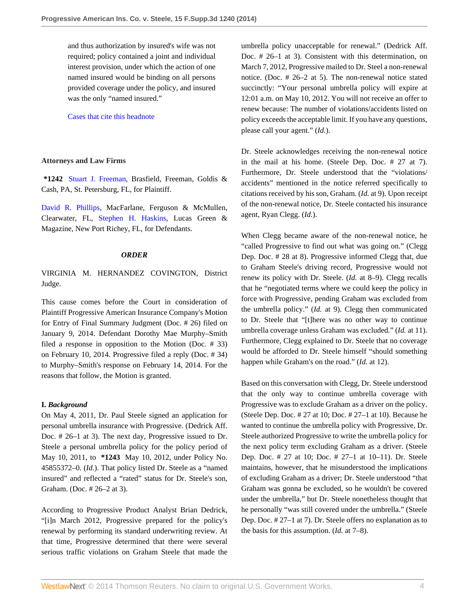and thus authorization by insured's wife was not required; policy contained a joint and individual interest provision, under which the action of one named insured would be binding on all persons provided coverage under the policy, and insured was the only "named insured."

[Cases that cite this headnote](http://www.westlaw.com/Link/RelatedInformation/DocHeadnoteLink?docGuid=I393add3fcb1f11e39488c8f438320c70&headnoteId=203325230201220141117033239&originationContext=document&vr=3.0&rs=cblt1.0&transitionType=CitingReferences&contextData=(sc.History*oc.MyResearchHistoryDocuments))

## **Attorneys and Law Firms**

**\*1242** [Stuart J. Freeman](http://www.westlaw.com/Link/Document/FullText?findType=h&pubNum=176284&cite=0122065601&originatingDoc=I393add3fcb1f11e39488c8f438320c70&refType=RQ&originationContext=document&vr=3.0&rs=cblt1.0&transitionType=DocumentItem&contextData=(sc.History*oc.MyResearchHistoryDocuments)), Brasfield, Freeman, Goldis & Cash, PA, St. Petersburg, FL, for Plaintiff.

[David R. Phillips](http://www.westlaw.com/Link/Document/FullText?findType=h&pubNum=176284&cite=0433950301&originatingDoc=I393add3fcb1f11e39488c8f438320c70&refType=RQ&originationContext=document&vr=3.0&rs=cblt1.0&transitionType=DocumentItem&contextData=(sc.History*oc.MyResearchHistoryDocuments)), MacFarlane, Ferguson & McMullen, Clearwater, FL, [Stephen H. Haskins](http://www.westlaw.com/Link/Document/FullText?findType=h&pubNum=176284&cite=0101212501&originatingDoc=I393add3fcb1f11e39488c8f438320c70&refType=RQ&originationContext=document&vr=3.0&rs=cblt1.0&transitionType=DocumentItem&contextData=(sc.History*oc.MyResearchHistoryDocuments)), Lucas Green & Magazine, New Port Richey, FL, for Defendants.

## *ORDER*

VIRGINIA M. HERNANDEZ COVINGTON, District Judge.

This cause comes before the Court in consideration of Plaintiff Progressive American Insurance Company's Motion for Entry of Final Summary Judgment (Doc. # 26) filed on January 9, 2014. Defendant Dorothy Mae Murphy–Smith filed a response in opposition to the Motion (Doc. # 33) on February 10, 2014. Progressive filed a reply (Doc. # 34) to Murphy–Smith's response on February 14, 2014. For the reasons that follow, the Motion is granted.

## **I.** *Background*

On May 4, 2011, Dr. Paul Steele signed an application for personal umbrella insurance with Progressive. (Dedrick Aff. Doc. # 26–1 at 3). The next day, Progressive issued to Dr. Steele a personal umbrella policy for the policy period of May 10, 2011, to **\*1243** May 10, 2012, under Policy No. 45855372–0. (*Id.*). That policy listed Dr. Steele as a "named insured" and reflected a "rated" status for Dr. Steele's son, Graham. (Doc. # 26–2 at 3).

According to Progressive Product Analyst Brian Dedrick, "[i]n March 2012, Progressive prepared for the policy's renewal by performing its standard underwriting review. At that time, Progressive determined that there were several serious traffic violations on Graham Steele that made the umbrella policy unacceptable for renewal." (Dedrick Aff. Doc. # 26–1 at 3). Consistent with this determination, on March 7, 2012, Progressive mailed to Dr. Steel a non-renewal notice. (Doc. # 26–2 at 5). The non-renewal notice stated succinctly: "Your personal umbrella policy will expire at 12:01 a.m. on May 10, 2012. You will not receive an offer to renew because: The number of violations/accidents listed on policy exceeds the acceptable limit. If you have any questions, please call your agent." (*Id.*).

Dr. Steele acknowledges receiving the non-renewal notice in the mail at his home. (Steele Dep. Doc. # 27 at 7). Furthermore, Dr. Steele understood that the "violations/ accidents" mentioned in the notice referred specifically to citations received by his son, Graham. (*Id.* at 9). Upon receipt of the non-renewal notice, Dr. Steele contacted his insurance agent, Ryan Clegg. (*Id.*).

When Clegg became aware of the non-renewal notice, he "called Progressive to find out what was going on." (Clegg Dep. Doc. # 28 at 8). Progressive informed Clegg that, due to Graham Steele's driving record, Progressive would not renew its policy with Dr. Steele. (*Id.* at 8–9). Clegg recalls that he "negotiated terms where we could keep the policy in force with Progressive, pending Graham was excluded from the umbrella policy." (*Id.* at 9). Clegg then communicated to Dr. Steele that "[t]here was no other way to continue umbrella coverage unless Graham was excluded." (*Id.* at 11). Furthermore, Clegg explained to Dr. Steele that no coverage would be afforded to Dr. Steele himself "should something happen while Graham's on the road." (*Id.* at 12).

Based on this conversation with Clegg, Dr. Steele understood that the only way to continue umbrella coverage with Progressive was to exclude Graham as a driver on the policy. (Steele Dep. Doc. # 27 at 10; Doc. # 27–1 at 10). Because he wanted to continue the umbrella policy with Progressive, Dr. Steele authorized Progressive to write the umbrella policy for the next policy term excluding Graham as a driver. (Steele Dep. Doc. # 27 at 10; Doc. # 27–1 at 10–11). Dr. Steele maintains, however, that he misunderstood the implications of excluding Graham as a driver; Dr. Steele understood "that Graham was gonna be excluded, so he wouldn't be covered under the umbrella," but Dr. Steele nonetheless thought that he personally "was still covered under the umbrella." (Steele Dep. Doc. # 27–1 at 7). Dr. Steele offers no explanation as to the basis for this assumption. (*Id.* at 7–8).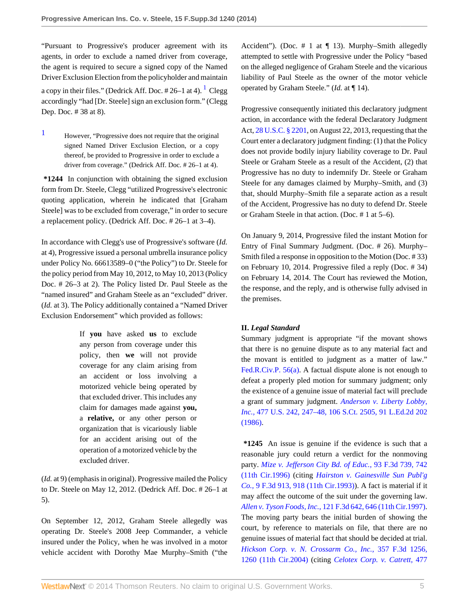"Pursuant to Progressive's producer agreement with its agents, in order to exclude a named driver from coverage, the agent is required to secure a signed copy of the Named Driver Exclusion Election from the policyholder and maintain a copy in their files." (Dedrick Aff. Doc.  $\#26-1$  $\#26-1$  at 4).  $^1$  Clegg accordingly "had [Dr. Steele] sign an exclusion form." (Clegg Dep. Doc. # 38 at 8).

<span id="page-4-0"></span>[1](#page-4-1) However, "Progressive does not require that the original signed Named Driver Exclusion Election, or a copy thereof, be provided to Progressive in order to exclude a driver from coverage." (Dedrick Aff. Doc. # 26–1 at 4).

**\*1244** In conjunction with obtaining the signed exclusion form from Dr. Steele, Clegg "utilized Progressive's electronic quoting application, wherein he indicated that [Graham Steele] was to be excluded from coverage," in order to secure a replacement policy. (Dedrick Aff. Doc. # 26–1 at 3–4).

In accordance with Clegg's use of Progressive's software (*Id.* at 4), Progressive issued a personal umbrella insurance policy under Policy No. 66613589–0 ("the Policy") to Dr. Steele for the policy period from May 10, 2012, to May 10, 2013 (Policy Doc. # 26–3 at 2). The Policy listed Dr. Paul Steele as the "named insured" and Graham Steele as an "excluded" driver. (*Id.* at 3). The Policy additionally contained a "Named Driver Exclusion Endorsement" which provided as follows:

> If **you** have asked **us** to exclude any person from coverage under this policy, then **we** will not provide coverage for any claim arising from an accident or loss involving a motorized vehicle being operated by that excluded driver. This includes any claim for damages made against **you,** a **relative,** or any other person or organization that is vicariously liable for an accident arising out of the operation of a motorized vehicle by the excluded driver.

(*Id.* at 9) (emphasis in original). Progressive mailed the Policy to Dr. Steele on May 12, 2012. (Dedrick Aff. Doc. # 26–1 at 5).

On September 12, 2012, Graham Steele allegedly was operating Dr. Steele's 2008 Jeep Commander, a vehicle insured under the Policy, when he was involved in a motor vehicle accident with Dorothy Mae Murphy–Smith ("the Accident"). (Doc.  $# 1$  at  $\P$  13). Murphy–Smith allegedly attempted to settle with Progressive under the Policy "based on the alleged negligence of Graham Steele and the vicarious liability of Paul Steele as the owner of the motor vehicle operated by Graham Steele." (*Id.* at ¶ 14).

<span id="page-4-1"></span>Progressive consequently initiated this declaratory judgment action, in accordance with the federal Declaratory Judgment Act, [28 U.S.C. § 2201,](http://www.westlaw.com/Link/Document/FullText?findType=L&pubNum=1000546&cite=28USCAS2201&originatingDoc=I393add3fcb1f11e39488c8f438320c70&refType=LQ&originationContext=document&vr=3.0&rs=cblt1.0&transitionType=DocumentItem&contextData=(sc.History*oc.MyResearchHistoryDocuments)) on August 22, 2013, requesting that the Court enter a declaratory judgment finding: (1) that the Policy does not provide bodily injury liability coverage to Dr. Paul Steele or Graham Steele as a result of the Accident, (2) that Progressive has no duty to indemnify Dr. Steele or Graham Steele for any damages claimed by Murphy–Smith, and (3) that, should Murphy–Smith file a separate action as a result of the Accident, Progressive has no duty to defend Dr. Steele or Graham Steele in that action. (Doc. # 1 at 5–6).

On January 9, 2014, Progressive filed the instant Motion for Entry of Final Summary Judgment. (Doc. # 26). Murphy– Smith filed a response in opposition to the Motion (Doc. # 33) on February 10, 2014. Progressive filed a reply (Doc. # 34) on February 14, 2014. The Court has reviewed the Motion, the response, and the reply, and is otherwise fully advised in the premises.

## **II.** *Legal Standard*

Summary judgment is appropriate "if the movant shows that there is no genuine dispute as to any material fact and the movant is entitled to judgment as a matter of law." [Fed.R.Civ.P. 56\(a\).](http://www.westlaw.com/Link/Document/FullText?findType=L&pubNum=1000600&cite=USFRCPR56&originationContext=document&vr=3.0&rs=cblt1.0&transitionType=DocumentItem&contextData=(sc.History*oc.MyResearchHistoryDocuments)#co_pp_8b3b0000958a4) A factual dispute alone is not enough to defeat a properly pled motion for summary judgment; only the existence of a genuine issue of material fact will preclude a grant of summary judgment. *[Anderson v. Liberty Lobby,](http://www.westlaw.com/Link/Document/FullText?findType=Y&serNum=1986132674&pubNum=0000708&originationContext=document&vr=3.0&rs=cblt1.0&transitionType=DocumentItem&contextData=(sc.History*oc.MyResearchHistoryDocuments)) Inc.,* [477 U.S. 242, 247–48, 106 S.Ct. 2505, 91 L.Ed.2d 202](http://www.westlaw.com/Link/Document/FullText?findType=Y&serNum=1986132674&pubNum=0000708&originationContext=document&vr=3.0&rs=cblt1.0&transitionType=DocumentItem&contextData=(sc.History*oc.MyResearchHistoryDocuments)) [\(1986\).](http://www.westlaw.com/Link/Document/FullText?findType=Y&serNum=1986132674&pubNum=0000708&originationContext=document&vr=3.0&rs=cblt1.0&transitionType=DocumentItem&contextData=(sc.History*oc.MyResearchHistoryDocuments))

**\*1245** An issue is genuine if the evidence is such that a reasonable jury could return a verdict for the nonmoving party. *[Mize v. Jefferson City Bd. of Educ.,](http://www.westlaw.com/Link/Document/FullText?findType=Y&serNum=1996186579&pubNum=0000506&fi=co_pp_sp_506_742&originationContext=document&vr=3.0&rs=cblt1.0&transitionType=DocumentItem&contextData=(sc.History*oc.MyResearchHistoryDocuments)#co_pp_sp_506_742)* 93 F.3d 739, 742 [\(11th Cir.1996\)](http://www.westlaw.com/Link/Document/FullText?findType=Y&serNum=1996186579&pubNum=0000506&fi=co_pp_sp_506_742&originationContext=document&vr=3.0&rs=cblt1.0&transitionType=DocumentItem&contextData=(sc.History*oc.MyResearchHistoryDocuments)#co_pp_sp_506_742) (citing *[Hairston v. Gainesville Sun Publ'g](http://www.westlaw.com/Link/Document/FullText?findType=Y&serNum=1993229035&pubNum=0000506&fi=co_pp_sp_506_918&originationContext=document&vr=3.0&rs=cblt1.0&transitionType=DocumentItem&contextData=(sc.History*oc.MyResearchHistoryDocuments)#co_pp_sp_506_918) Co.,* [9 F.3d 913, 918 \(11th Cir.1993\)\)](http://www.westlaw.com/Link/Document/FullText?findType=Y&serNum=1993229035&pubNum=0000506&fi=co_pp_sp_506_918&originationContext=document&vr=3.0&rs=cblt1.0&transitionType=DocumentItem&contextData=(sc.History*oc.MyResearchHistoryDocuments)#co_pp_sp_506_918). A fact is material if it may affect the outcome of the suit under the governing law. *Allen v. Tyson Foods, Inc.,* [121 F.3d 642, 646 \(11th Cir.1997\).](http://www.westlaw.com/Link/Document/FullText?findType=Y&serNum=1997177675&pubNum=0000506&fi=co_pp_sp_506_646&originationContext=document&vr=3.0&rs=cblt1.0&transitionType=DocumentItem&contextData=(sc.History*oc.MyResearchHistoryDocuments)#co_pp_sp_506_646) The moving party bears the initial burden of showing the court, by reference to materials on file, that there are no genuine issues of material fact that should be decided at trial. *[Hickson Corp. v. N. Crossarm Co., Inc.,](http://www.westlaw.com/Link/Document/FullText?findType=Y&serNum=2004087153&pubNum=0000506&fi=co_pp_sp_506_1260&originationContext=document&vr=3.0&rs=cblt1.0&transitionType=DocumentItem&contextData=(sc.History*oc.MyResearchHistoryDocuments)#co_pp_sp_506_1260)* 357 F.3d 1256, [1260 \(11th Cir.2004\)](http://www.westlaw.com/Link/Document/FullText?findType=Y&serNum=2004087153&pubNum=0000506&fi=co_pp_sp_506_1260&originationContext=document&vr=3.0&rs=cblt1.0&transitionType=DocumentItem&contextData=(sc.History*oc.MyResearchHistoryDocuments)#co_pp_sp_506_1260) (citing *[Celotex Corp. v. Catrett,](http://www.westlaw.com/Link/Document/FullText?findType=Y&serNum=1986132677&pubNum=0000708&originationContext=document&vr=3.0&rs=cblt1.0&transitionType=DocumentItem&contextData=(sc.History*oc.MyResearchHistoryDocuments))* 477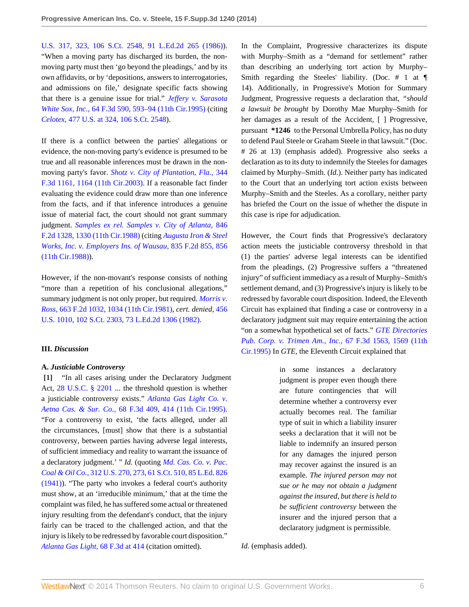[U.S. 317, 323, 106 S.Ct. 2548, 91 L.Ed.2d 265 \(1986\)](http://www.westlaw.com/Link/Document/FullText?findType=Y&serNum=1986132677&pubNum=0000708&originationContext=document&vr=3.0&rs=cblt1.0&transitionType=DocumentItem&contextData=(sc.History*oc.MyResearchHistoryDocuments))). "When a moving party has discharged its burden, the nonmoving party must then 'go beyond the pleadings,' and by its own affidavits, or by 'depositions, answers to interrogatories, and admissions on file,' designate specific facts showing that there is a genuine issue for trial." *[Jeffery v. Sarasota](http://www.westlaw.com/Link/Document/FullText?findType=Y&serNum=1995178188&pubNum=0000506&fi=co_pp_sp_506_593&originationContext=document&vr=3.0&rs=cblt1.0&transitionType=DocumentItem&contextData=(sc.History*oc.MyResearchHistoryDocuments)#co_pp_sp_506_593) White Sox, Inc.,* [64 F.3d 590, 593–94 \(11th Cir.1995\)](http://www.westlaw.com/Link/Document/FullText?findType=Y&serNum=1995178188&pubNum=0000506&fi=co_pp_sp_506_593&originationContext=document&vr=3.0&rs=cblt1.0&transitionType=DocumentItem&contextData=(sc.History*oc.MyResearchHistoryDocuments)#co_pp_sp_506_593) (citing *Celotex,* [477 U.S. at 324, 106 S.Ct. 2548](http://www.westlaw.com/Link/Document/FullText?findType=Y&serNum=1986132677&pubNum=0000708&originationContext=document&vr=3.0&rs=cblt1.0&transitionType=DocumentItem&contextData=(sc.History*oc.MyResearchHistoryDocuments))).

If there is a conflict between the parties' allegations or evidence, the non-moving party's evidence is presumed to be true and all reasonable inferences must be drawn in the nonmoving party's favor. *[Shotz v. City of Plantation, Fla.,](http://www.westlaw.com/Link/Document/FullText?findType=Y&serNum=2003612085&pubNum=0000506&fi=co_pp_sp_506_1164&originationContext=document&vr=3.0&rs=cblt1.0&transitionType=DocumentItem&contextData=(sc.History*oc.MyResearchHistoryDocuments)#co_pp_sp_506_1164)* 344 [F.3d 1161, 1164 \(11th Cir.2003\)](http://www.westlaw.com/Link/Document/FullText?findType=Y&serNum=2003612085&pubNum=0000506&fi=co_pp_sp_506_1164&originationContext=document&vr=3.0&rs=cblt1.0&transitionType=DocumentItem&contextData=(sc.History*oc.MyResearchHistoryDocuments)#co_pp_sp_506_1164). If a reasonable fact finder evaluating the evidence could draw more than one inference from the facts, and if that inference introduces a genuine issue of material fact, the court should not grant summary judgment. *[Samples ex rel. Samples v. City of Atlanta,](http://www.westlaw.com/Link/Document/FullText?findType=Y&serNum=1988069944&pubNum=0000350&fi=co_pp_sp_350_1330&originationContext=document&vr=3.0&rs=cblt1.0&transitionType=DocumentItem&contextData=(sc.History*oc.MyResearchHistoryDocuments)#co_pp_sp_350_1330)* 846 [F.2d 1328, 1330 \(11th Cir.1988\)](http://www.westlaw.com/Link/Document/FullText?findType=Y&serNum=1988069944&pubNum=0000350&fi=co_pp_sp_350_1330&originationContext=document&vr=3.0&rs=cblt1.0&transitionType=DocumentItem&contextData=(sc.History*oc.MyResearchHistoryDocuments)#co_pp_sp_350_1330) (citing *[Augusta Iron & Steel](http://www.westlaw.com/Link/Document/FullText?findType=Y&serNum=1987160841&pubNum=0000350&fi=co_pp_sp_350_856&originationContext=document&vr=3.0&rs=cblt1.0&transitionType=DocumentItem&contextData=(sc.History*oc.MyResearchHistoryDocuments)#co_pp_sp_350_856) [Works, Inc. v. Employers Ins. of Wausau,](http://www.westlaw.com/Link/Document/FullText?findType=Y&serNum=1987160841&pubNum=0000350&fi=co_pp_sp_350_856&originationContext=document&vr=3.0&rs=cblt1.0&transitionType=DocumentItem&contextData=(sc.History*oc.MyResearchHistoryDocuments)#co_pp_sp_350_856)* 835 F.2d 855, 856 [\(11th Cir.1988\)](http://www.westlaw.com/Link/Document/FullText?findType=Y&serNum=1987160841&pubNum=0000350&fi=co_pp_sp_350_856&originationContext=document&vr=3.0&rs=cblt1.0&transitionType=DocumentItem&contextData=(sc.History*oc.MyResearchHistoryDocuments)#co_pp_sp_350_856)).

However, if the non-movant's response consists of nothing "more than a repetition of his conclusional allegations," summary judgment is not only proper, but required. *[Morris v.](http://www.westlaw.com/Link/Document/FullText?findType=Y&serNum=1981149005&pubNum=0000350&fi=co_pp_sp_350_1034&originationContext=document&vr=3.0&rs=cblt1.0&transitionType=DocumentItem&contextData=(sc.History*oc.MyResearchHistoryDocuments)#co_pp_sp_350_1034) Ross,* [663 F.2d 1032, 1034 \(11th Cir.1981\)](http://www.westlaw.com/Link/Document/FullText?findType=Y&serNum=1981149005&pubNum=0000350&fi=co_pp_sp_350_1034&originationContext=document&vr=3.0&rs=cblt1.0&transitionType=DocumentItem&contextData=(sc.History*oc.MyResearchHistoryDocuments)#co_pp_sp_350_1034), *cert. denied,* [456](http://www.westlaw.com/Link/Document/FullText?findType=Y&serNum=1982221912&pubNum=0000708&originationContext=document&vr=3.0&rs=cblt1.0&transitionType=DocumentItem&contextData=(sc.History*oc.MyResearchHistoryDocuments)) [U.S. 1010, 102 S.Ct. 2303, 73 L.Ed.2d 1306 \(1982\).](http://www.westlaw.com/Link/Document/FullText?findType=Y&serNum=1982221912&pubNum=0000708&originationContext=document&vr=3.0&rs=cblt1.0&transitionType=DocumentItem&contextData=(sc.History*oc.MyResearchHistoryDocuments))

## **III.** *Discussion*

## **A.** *Justiciable Controversy*

<span id="page-5-0"></span>**[\[1\]](#page-0-0)** "In all cases arising under the Declaratory Judgment Act, [28 U.S.C. § 2201](http://www.westlaw.com/Link/Document/FullText?findType=L&pubNum=1000546&cite=28USCAS2201&originatingDoc=I393add3fcb1f11e39488c8f438320c70&refType=LQ&originationContext=document&vr=3.0&rs=cblt1.0&transitionType=DocumentItem&contextData=(sc.History*oc.MyResearchHistoryDocuments)) ... the threshold question is whether a justiciable controversy exists." *[Atlanta Gas Light Co. v.](http://www.westlaw.com/Link/Document/FullText?findType=Y&serNum=1995210481&pubNum=0000506&fi=co_pp_sp_506_414&originationContext=document&vr=3.0&rs=cblt1.0&transitionType=DocumentItem&contextData=(sc.History*oc.MyResearchHistoryDocuments)#co_pp_sp_506_414) Aetna Cas. & Sur. Co.,* [68 F.3d 409, 414 \(11th Cir.1995\)](http://www.westlaw.com/Link/Document/FullText?findType=Y&serNum=1995210481&pubNum=0000506&fi=co_pp_sp_506_414&originationContext=document&vr=3.0&rs=cblt1.0&transitionType=DocumentItem&contextData=(sc.History*oc.MyResearchHistoryDocuments)#co_pp_sp_506_414). "For a controversy to exist, 'the facts alleged, under all the circumstances, [must] show that there is a substantial controversy, between parties having adverse legal interests, of sufficient immediacy and reality to warrant the issuance of a declaratory judgment.' " *Id.* (quoting *[Md. Cas. Co. v. Pac.](http://www.westlaw.com/Link/Document/FullText?findType=Y&serNum=1941124592&pubNum=0000708&originationContext=document&vr=3.0&rs=cblt1.0&transitionType=DocumentItem&contextData=(sc.History*oc.MyResearchHistoryDocuments)) Coal & Oil Co.,* [312 U.S. 270, 273, 61 S.Ct. 510, 85 L.Ed. 826](http://www.westlaw.com/Link/Document/FullText?findType=Y&serNum=1941124592&pubNum=0000708&originationContext=document&vr=3.0&rs=cblt1.0&transitionType=DocumentItem&contextData=(sc.History*oc.MyResearchHistoryDocuments)) [\(1941\)\)](http://www.westlaw.com/Link/Document/FullText?findType=Y&serNum=1941124592&pubNum=0000708&originationContext=document&vr=3.0&rs=cblt1.0&transitionType=DocumentItem&contextData=(sc.History*oc.MyResearchHistoryDocuments)). "The party who invokes a federal court's authority must show, at an 'irreducible minimum,' that at the time the complaint was filed, he has suffered some actual or threatened injury resulting from the defendant's conduct, that the injury fairly can be traced to the challenged action, and that the injury is likely to be redressed by favorable court disposition." *[Atlanta Gas Light,](http://www.westlaw.com/Link/Document/FullText?findType=Y&serNum=1995210481&pubNum=0000506&fi=co_pp_sp_506_414&originationContext=document&vr=3.0&rs=cblt1.0&transitionType=DocumentItem&contextData=(sc.History*oc.MyResearchHistoryDocuments)#co_pp_sp_506_414)* 68 F.3d at 414 (citation omitted).

In the Complaint, Progressive characterizes its dispute with Murphy–Smith as a "demand for settlement" rather than describing an underlying tort action by Murphy– Smith regarding the Steeles' liability. (Doc.  $\#$  1 at  $\P$ 14). Additionally, in Progressive's Motion for Summary Judgment, Progressive requests a declaration that, *"should a lawsuit be brought* by Dorothy Mae Murphy–Smith for her damages as a result of the Accident, [ ] Progressive, pursuant **\*1246** to the Personal Umbrella Policy, has no duty to defend Paul Steele or Graham Steele in that lawsuit." (Doc. # 26 at 13) (emphasis added). Progressive also seeks a declaration as to its duty to indemnify the Steeles for damages claimed by Murphy–Smith. (*Id.*). Neither party has indicated to the Court that an underlying tort action exists between Murphy–Smith and the Steeles. As a corollary, neither party has briefed the Court on the issue of whether the dispute in this case is ripe for adjudication.

However, the Court finds that Progressive's declaratory action meets the justiciable controversy threshold in that (1) the parties' adverse legal interests can be identified from the pleadings, (2) Progressive suffers a "threatened injury" of sufficient immediacy as a result of Murphy–Smith's settlement demand, and (3) Progressive's injury is likely to be redressed by favorable court disposition. Indeed, the Eleventh Circuit has explained that finding a case or controversy in a declaratory judgment suit may require entertaining the action "on a somewhat hypothetical set of facts." *[GTE Directories](http://www.westlaw.com/Link/Document/FullText?findType=Y&serNum=1995211942&pubNum=0000506&fi=co_pp_sp_506_1569&originationContext=document&vr=3.0&rs=cblt1.0&transitionType=DocumentItem&contextData=(sc.History*oc.MyResearchHistoryDocuments)#co_pp_sp_506_1569) [Pub. Corp. v. Trimen Am., Inc.,](http://www.westlaw.com/Link/Document/FullText?findType=Y&serNum=1995211942&pubNum=0000506&fi=co_pp_sp_506_1569&originationContext=document&vr=3.0&rs=cblt1.0&transitionType=DocumentItem&contextData=(sc.History*oc.MyResearchHistoryDocuments)#co_pp_sp_506_1569)* 67 F.3d 1563, 1569 (11th [Cir.1995\)](http://www.westlaw.com/Link/Document/FullText?findType=Y&serNum=1995211942&pubNum=0000506&fi=co_pp_sp_506_1569&originationContext=document&vr=3.0&rs=cblt1.0&transitionType=DocumentItem&contextData=(sc.History*oc.MyResearchHistoryDocuments)#co_pp_sp_506_1569) In *GTE,* the Eleventh Circuit explained that

> in some instances a declaratory judgment is proper even though there are future contingencies that will determine whether a controversy ever actually becomes real. The familiar type of suit in which a liability insurer seeks a declaration that it will not be liable to indemnify an insured person for any damages the injured person may recover against the insured is an example. *The injured person may not sue or he may not obtain a judgment against the insured, but there is held to be sufficient controversy* between the insurer and the injured person that a declaratory judgment is permissible.

*Id.* (emphasis added).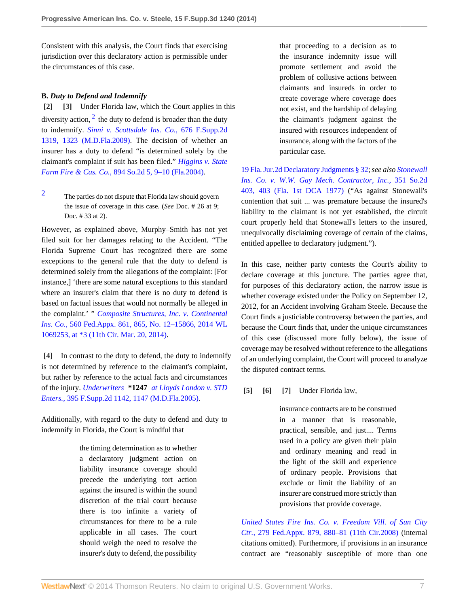Consistent with this analysis, the Court finds that exercising jurisdiction over this declaratory action is permissible under the circumstances of this case.

## **B.** *Duty to Defend and Indemnify*

<span id="page-6-7"></span><span id="page-6-1"></span><span id="page-6-0"></span>**[\[2\]](#page-0-1) [\[3\]](#page-0-2)** Under Florida law, which the Court applies in this diversity action,  $2$  the duty to defend is broader than the duty to indemnify. *[Sinni v. Scottsdale Ins. Co.,](http://www.westlaw.com/Link/Document/FullText?findType=Y&serNum=2020924220&pubNum=0004637&fi=co_pp_sp_4637_1323&originationContext=document&vr=3.0&rs=cblt1.0&transitionType=DocumentItem&contextData=(sc.History*oc.MyResearchHistoryDocuments)#co_pp_sp_4637_1323)* 676 F.Supp.2d [1319, 1323 \(M.D.Fla.2009\).](http://www.westlaw.com/Link/Document/FullText?findType=Y&serNum=2020924220&pubNum=0004637&fi=co_pp_sp_4637_1323&originationContext=document&vr=3.0&rs=cblt1.0&transitionType=DocumentItem&contextData=(sc.History*oc.MyResearchHistoryDocuments)#co_pp_sp_4637_1323) The decision of whether an insurer has a duty to defend "is determined solely by the claimant's complaint if suit has been filed." *[Higgins v. State](http://www.westlaw.com/Link/Document/FullText?findType=Y&serNum=2005212849&pubNum=0000735&fi=co_pp_sp_735_9&originationContext=document&vr=3.0&rs=cblt1.0&transitionType=DocumentItem&contextData=(sc.History*oc.MyResearchHistoryDocuments)#co_pp_sp_735_9) Farm Fire & Cas. Co.,* [894 So.2d 5, 9–10 \(Fla.2004\).](http://www.westlaw.com/Link/Document/FullText?findType=Y&serNum=2005212849&pubNum=0000735&fi=co_pp_sp_735_9&originationContext=document&vr=3.0&rs=cblt1.0&transitionType=DocumentItem&contextData=(sc.History*oc.MyResearchHistoryDocuments)#co_pp_sp_735_9)

<span id="page-6-6"></span>[2](#page-6-7) The parties do not dispute that Florida law should govern the issue of coverage in this case. (*See* Doc. # 26 at 9; Doc. # 33 at 2).

However, as explained above, Murphy–Smith has not yet filed suit for her damages relating to the Accident. "The Florida Supreme Court has recognized there are some exceptions to the general rule that the duty to defend is determined solely from the allegations of the complaint: [For instance,] 'there are some natural exceptions to this standard where an insurer's claim that there is no duty to defend is based on factual issues that would not normally be alleged in the complaint.' " *[Composite Structures, Inc. v. Continental](http://www.westlaw.com/Link/Document/FullText?findType=Y&serNum=2032930650&pubNum=0006538&fi=co_pp_sp_6538_865&originationContext=document&vr=3.0&rs=cblt1.0&transitionType=DocumentItem&contextData=(sc.History*oc.MyResearchHistoryDocuments)#co_pp_sp_6538_865) Ins. Co.,* [560 Fed.Appx. 861, 865, No. 12–15866, 2014 WL](http://www.westlaw.com/Link/Document/FullText?findType=Y&serNum=2032930650&pubNum=0006538&fi=co_pp_sp_6538_865&originationContext=document&vr=3.0&rs=cblt1.0&transitionType=DocumentItem&contextData=(sc.History*oc.MyResearchHistoryDocuments)#co_pp_sp_6538_865) [1069253, at \\*3 \(11th Cir. Mar. 20, 2014\).](http://www.westlaw.com/Link/Document/FullText?findType=Y&serNum=2032930650&pubNum=0006538&fi=co_pp_sp_6538_865&originationContext=document&vr=3.0&rs=cblt1.0&transitionType=DocumentItem&contextData=(sc.History*oc.MyResearchHistoryDocuments)#co_pp_sp_6538_865)

<span id="page-6-2"></span>**[\[4\]](#page-1-0)** In contrast to the duty to defend, the duty to indemnify is not determined by reference to the claimant's complaint, but rather by reference to the actual facts and circumstances of the injury. *Underwriters* **\*1247** *[at Lloyds London v. STD](http://www.westlaw.com/Link/Document/FullText?findType=Y&serNum=2007542435&pubNum=0004637&fi=co_pp_sp_4637_1147&originationContext=document&vr=3.0&rs=cblt1.0&transitionType=DocumentItem&contextData=(sc.History*oc.MyResearchHistoryDocuments)#co_pp_sp_4637_1147) Enters.,* [395 F.Supp.2d 1142, 1147 \(M.D.Fla.2005\)](http://www.westlaw.com/Link/Document/FullText?findType=Y&serNum=2007542435&pubNum=0004637&fi=co_pp_sp_4637_1147&originationContext=document&vr=3.0&rs=cblt1.0&transitionType=DocumentItem&contextData=(sc.History*oc.MyResearchHistoryDocuments)#co_pp_sp_4637_1147).

Additionally, with regard to the duty to defend and duty to indemnify in Florida, the Court is mindful that

> the timing determination as to whether a declaratory judgment action on liability insurance coverage should precede the underlying tort action against the insured is within the sound discretion of the trial court because there is too infinite a variety of circumstances for there to be a rule applicable in all cases. The court should weigh the need to resolve the insurer's duty to defend, the possibility

that proceeding to a decision as to the insurance indemnity issue will promote settlement and avoid the problem of collusive actions between claimants and insureds in order to create coverage where coverage does not exist, and the hardship of delaying the claimant's judgment against the insured with resources independent of insurance, along with the factors of the particular case.

[19 Fla. Jur.2d Declaratory Judgments § 32;](http://www.westlaw.com/Link/Document/FullText?findType=Y&serNum=0281439696&pubNum=0114590&originationContext=document&vr=3.0&rs=cblt1.0&transitionType=DocumentItem&contextData=(sc.History*oc.MyResearchHistoryDocuments)) *see also [Stonewall](http://www.westlaw.com/Link/Document/FullText?findType=Y&serNum=1977140055&pubNum=0000735&originationContext=document&vr=3.0&rs=cblt1.0&transitionType=DocumentItem&contextData=(sc.History*oc.MyResearchHistoryDocuments)) [Ins. Co. v. W.W. Gay Mech. Contractor, Inc.,](http://www.westlaw.com/Link/Document/FullText?findType=Y&serNum=1977140055&pubNum=0000735&originationContext=document&vr=3.0&rs=cblt1.0&transitionType=DocumentItem&contextData=(sc.History*oc.MyResearchHistoryDocuments))* 351 So.2d [403, 403 \(Fla. 1st DCA 1977\)](http://www.westlaw.com/Link/Document/FullText?findType=Y&serNum=1977140055&pubNum=0000735&originationContext=document&vr=3.0&rs=cblt1.0&transitionType=DocumentItem&contextData=(sc.History*oc.MyResearchHistoryDocuments)) ("As against Stonewall's contention that suit ... was premature because the insured's liability to the claimant is not yet established, the circuit court properly held that Stonewall's letters to the insured, unequivocally disclaiming coverage of certain of the claims, entitled appellee to declaratory judgment.").

In this case, neither party contests the Court's ability to declare coverage at this juncture. The parties agree that, for purposes of this declaratory action, the narrow issue is whether coverage existed under the Policy on September 12, 2012, for an Accident involving Graham Steele. Because the Court finds a justiciable controversy between the parties, and because the Court finds that, under the unique circumstances of this case (discussed more fully below), the issue of coverage may be resolved without reference to the allegations of an underlying complaint, the Court will proceed to analyze the disputed contract terms.

<span id="page-6-3"></span>**[\[5\]](#page-1-1) [\[6\]](#page-1-2) [\[7\]](#page-1-3)** Under Florida law,

<span id="page-6-5"></span><span id="page-6-4"></span>insurance contracts are to be construed in a manner that is reasonable, practical, sensible, and just.... Terms used in a policy are given their plain and ordinary meaning and read in the light of the skill and experience of ordinary people. Provisions that exclude or limit the liability of an insurer are construed more strictly than provisions that provide coverage.

*[United States Fire Ins. Co. v. Freedom Vill. of Sun City](http://www.westlaw.com/Link/Document/FullText?findType=Y&serNum=2016205196&pubNum=0006538&fi=co_pp_sp_6538_880&originationContext=document&vr=3.0&rs=cblt1.0&transitionType=DocumentItem&contextData=(sc.History*oc.MyResearchHistoryDocuments)#co_pp_sp_6538_880) Ctr.,* [279 Fed.Appx. 879, 880–81 \(11th Cir.2008\)](http://www.westlaw.com/Link/Document/FullText?findType=Y&serNum=2016205196&pubNum=0006538&fi=co_pp_sp_6538_880&originationContext=document&vr=3.0&rs=cblt1.0&transitionType=DocumentItem&contextData=(sc.History*oc.MyResearchHistoryDocuments)#co_pp_sp_6538_880) (internal citations omitted). Furthermore, if provisions in an insurance contract are "reasonably susceptible of more than one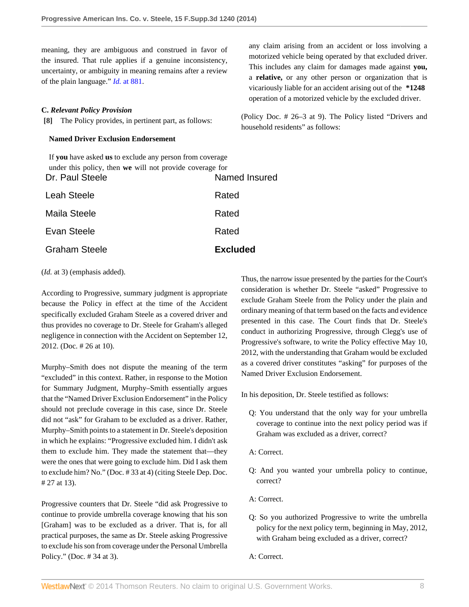meaning, they are ambiguous and construed in favor of the insured. That rule applies if a genuine inconsistency, uncertainty, or ambiguity in meaning remains after a review of the plain language." *Id.* [at 881.](http://www.westlaw.com/Link/Document/FullText?findType=Y&serNum=2016205196&pubNum=0006538&fi=co_pp_sp_6538_881&originationContext=document&vr=3.0&rs=cblt1.0&transitionType=DocumentItem&contextData=(sc.History*oc.MyResearchHistoryDocuments)#co_pp_sp_6538_881)

## **C.** *Relevant Policy Provision*

<span id="page-7-0"></span>**[\[8\]](#page-2-0)** The Policy provides, in pertinent part, as follows:

### **Named Driver Exclusion Endorsement**

If **you** have asked **us** to exclude any person from coverage under this policy, then **we** will not provide coverage for Dr. Paul Steele Named Insured

| <b>Graham Steele</b> | <b>Excluded</b> |
|----------------------|-----------------|
| Evan Steele          | Rated           |
| Maila Steele         | Rated           |
| <b>Leah Steele</b>   | Rated           |
|                      |                 |

#### (*Id.* at 3) (emphasis added).

According to Progressive, summary judgment is appropriate because the Policy in effect at the time of the Accident specifically excluded Graham Steele as a covered driver and thus provides no coverage to Dr. Steele for Graham's alleged negligence in connection with the Accident on September 12, 2012. (Doc. # 26 at 10).

Murphy–Smith does not dispute the meaning of the term "excluded" in this context. Rather, in response to the Motion for Summary Judgment, Murphy–Smith essentially argues that the "Named Driver Exclusion Endorsement" in the Policy should not preclude coverage in this case, since Dr. Steele did not "ask" for Graham to be excluded as a driver. Rather, Murphy–Smith points to a statement in Dr. Steele's deposition in which he explains: "Progressive excluded him. I didn't ask them to exclude him. They made the statement that—they were the ones that were going to exclude him. Did I ask them to exclude him? No." (Doc. # 33 at 4) (citing Steele Dep. Doc. # 27 at 13).

Progressive counters that Dr. Steele "did ask Progressive to continue to provide umbrella coverage knowing that his son [Graham] was to be excluded as a driver. That is, for all practical purposes, the same as Dr. Steele asking Progressive to exclude his son from coverage under the Personal Umbrella Policy." (Doc. # 34 at 3).

any claim arising from an accident or loss involving a motorized vehicle being operated by that excluded driver. This includes any claim for damages made against **you,** a **relative,** or any other person or organization that is vicariously liable for an accident arising out of the **\*1248** operation of a motorized vehicle by the excluded driver.

(Policy Doc. # 26–3 at 9). The Policy listed "Drivers and household residents" as follows:

Thus, the narrow issue presented by the parties for the Court's consideration is whether Dr. Steele "asked" Progressive to exclude Graham Steele from the Policy under the plain and ordinary meaning of that term based on the facts and evidence presented in this case. The Court finds that Dr. Steele's conduct in authorizing Progressive, through Clegg's use of Progressive's software, to write the Policy effective May 10, 2012, with the understanding that Graham would be excluded as a covered driver constitutes "asking" for purposes of the Named Driver Exclusion Endorsement.

In his deposition, Dr. Steele testified as follows:

- Q: You understand that the only way for your umbrella coverage to continue into the next policy period was if Graham was excluded as a driver, correct?
- A: Correct.
- Q: And you wanted your umbrella policy to continue, correct?
- A: Correct.
- Q: So you authorized Progressive to write the umbrella policy for the next policy term, beginning in May, 2012, with Graham being excluded as a driver, correct?
- A: Correct.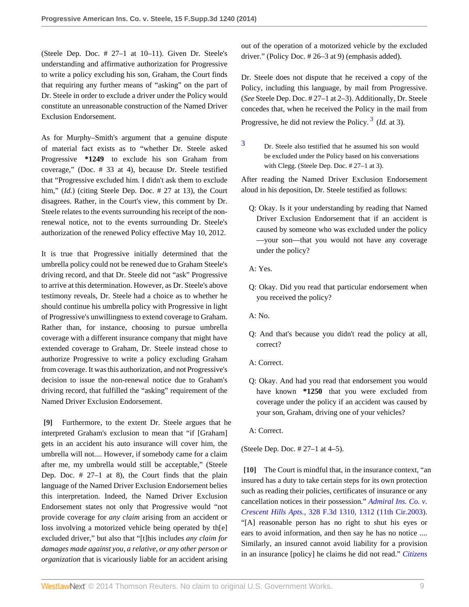(Steele Dep. Doc. # 27–1 at 10–11). Given Dr. Steele's understanding and affirmative authorization for Progressive to write a policy excluding his son, Graham, the Court finds that requiring any further means of "asking" on the part of Dr. Steele in order to exclude a driver under the Policy would constitute an unreasonable construction of the Named Driver Exclusion Endorsement.

As for Murphy–Smith's argument that a genuine dispute of material fact exists as to "whether Dr. Steele asked Progressive **\*1249** to exclude his son Graham from coverage," (Doc. # 33 at 4), because Dr. Steele testified that "Progressive excluded him. I didn't ask them to exclude him," *(Id.)* (citing Steele Dep. Doc. # 27 at 13), the Court disagrees. Rather, in the Court's view, this comment by Dr. Steele relates to the events surrounding his receipt of the nonrenewal notice, not to the events surrounding Dr. Steele's authorization of the renewed Policy effective May 10, 2012.

It is true that Progressive initially determined that the umbrella policy could not be renewed due to Graham Steele's driving record, and that Dr. Steele did not "ask" Progressive to arrive at this determination. However, as Dr. Steele's above testimony reveals, Dr. Steele had a choice as to whether he should continue his umbrella policy with Progressive in light of Progressive's unwillingness to extend coverage to Graham. Rather than, for instance, choosing to pursue umbrella coverage with a different insurance company that might have extended coverage to Graham, Dr. Steele instead chose to authorize Progressive to write a policy excluding Graham from coverage. It was this authorization, and not Progressive's decision to issue the non-renewal notice due to Graham's driving record, that fulfilled the "asking" requirement of the Named Driver Exclusion Endorsement.

<span id="page-8-0"></span>**[\[9\]](#page-2-2)** Furthermore, to the extent Dr. Steele argues that he interpreted Graham's exclusion to mean that "if [Graham] gets in an accident his auto insurance will cover him, the umbrella will not.... However, if somebody came for a claim after me, my umbrella would still be acceptable," (Steele Dep. Doc. # 27–1 at 8), the Court finds that the plain language of the Named Driver Exclusion Endorsement belies this interpretation. Indeed, the Named Driver Exclusion Endorsement states not only that Progressive would "not provide coverage for *any claim* arising from an accident or loss involving a motorized vehicle being operated by th[e] excluded driver," but also that "[t]his includes *any claim for damages made against you, a relative, or any other person or organization* that is vicariously liable for an accident arising

out of the operation of a motorized vehicle by the excluded driver." (Policy Doc. # 26–3 at 9) (emphasis added).

Dr. Steele does not dispute that he received a copy of the Policy, including this language, by mail from Progressive. (*See* Steele Dep. Doc. # 27–1 at 2–3). Additionally, Dr. Steele concedes that, when he received the Policy in the mail from Progressive, he did not review the Policy.<sup>[3](#page-8-2)</sup> (*Id.* at 3).

<span id="page-8-3"></span><span id="page-8-2"></span>[3](#page-8-3) Dr. Steele also testified that he assumed his son would be excluded under the Policy based on his conversations with Clegg. (Steele Dep. Doc. # 27–1 at 3).

After reading the Named Driver Exclusion Endorsement aloud in his deposition, Dr. Steele testified as follows:

- Q: Okay. Is it your understanding by reading that Named Driver Exclusion Endorsement that if an accident is caused by someone who was excluded under the policy —your son—that you would not have any coverage under the policy?
- A: Yes.
- Q: Okay. Did you read that particular endorsement when you received the policy?
- A: No.
- Q: And that's because you didn't read the policy at all, correct?
- A: Correct.
- Q: Okay. And had you read that endorsement you would have known **\*1250** that you were excluded from coverage under the policy if an accident was caused by your son, Graham, driving one of your vehicles?
- A: Correct.

(Steele Dep. Doc. # 27–1 at 4–5).

<span id="page-8-1"></span>**[\[10\]](#page-2-3)** The Court is mindful that, in the insurance context, "an insured has a duty to take certain steps for its own protection such as reading their policies, certificates of insurance or any cancellation notices in their possession." *[Admiral Ins. Co. v.](http://www.westlaw.com/Link/Document/FullText?findType=Y&serNum=2003308011&pubNum=0000506&fi=co_pp_sp_506_1312&originationContext=document&vr=3.0&rs=cblt1.0&transitionType=DocumentItem&contextData=(sc.History*oc.MyResearchHistoryDocuments)#co_pp_sp_506_1312) Crescent Hills Apts.,* [328 F.3d 1310, 1312 \(11th Cir.2003\).](http://www.westlaw.com/Link/Document/FullText?findType=Y&serNum=2003308011&pubNum=0000506&fi=co_pp_sp_506_1312&originationContext=document&vr=3.0&rs=cblt1.0&transitionType=DocumentItem&contextData=(sc.History*oc.MyResearchHistoryDocuments)#co_pp_sp_506_1312) "[A] reasonable person has no right to shut his eyes or ears to avoid information, and then say he has no notice .... Similarly, an insured cannot avoid liability for a provision in an insurance [policy] he claims he did not read." *[Citizens](http://www.westlaw.com/Link/Document/FullText?findType=Y&serNum=2023169858&pubNum=0003926&fi=co_pp_sp_3926_777&originationContext=document&vr=3.0&rs=cblt1.0&transitionType=DocumentItem&contextData=(sc.History*oc.MyResearchHistoryDocuments)#co_pp_sp_3926_777)*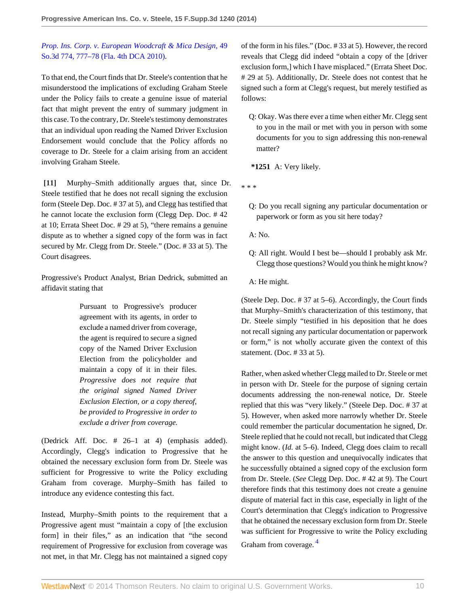# *[Prop. Ins. Corp. v. European Woodcraft & Mica Design,](http://www.westlaw.com/Link/Document/FullText?findType=Y&serNum=2023169858&pubNum=0003926&fi=co_pp_sp_3926_777&originationContext=document&vr=3.0&rs=cblt1.0&transitionType=DocumentItem&contextData=(sc.History*oc.MyResearchHistoryDocuments)#co_pp_sp_3926_777)* 49 [So.3d 774, 777–78 \(Fla. 4th DCA 2010\)](http://www.westlaw.com/Link/Document/FullText?findType=Y&serNum=2023169858&pubNum=0003926&fi=co_pp_sp_3926_777&originationContext=document&vr=3.0&rs=cblt1.0&transitionType=DocumentItem&contextData=(sc.History*oc.MyResearchHistoryDocuments)#co_pp_sp_3926_777).

To that end, the Court finds that Dr. Steele's contention that he misunderstood the implications of excluding Graham Steele under the Policy fails to create a genuine issue of material fact that might prevent the entry of summary judgment in this case. To the contrary, Dr. Steele's testimony demonstrates that an individual upon reading the Named Driver Exclusion Endorsement would conclude that the Policy affords no coverage to Dr. Steele for a claim arising from an accident involving Graham Steele.

<span id="page-9-0"></span>**[\[11\]](#page-2-1)** Murphy–Smith additionally argues that, since Dr. Steele testified that he does not recall signing the exclusion form (Steele Dep. Doc. # 37 at 5), and Clegg has testified that he cannot locate the exclusion form (Clegg Dep. Doc. # 42 at 10; Errata Sheet Doc. # 29 at 5), "there remains a genuine dispute as to whether a signed copy of the form was in fact secured by Mr. Clegg from Dr. Steele." (Doc. # 33 at 5). The Court disagrees.

Progressive's Product Analyst, Brian Dedrick, submitted an affidavit stating that

> Pursuant to Progressive's producer agreement with its agents, in order to exclude a named driver from coverage, the agent is required to secure a signed copy of the Named Driver Exclusion Election from the policyholder and maintain a copy of it in their files. *Progressive does not require that the original signed Named Driver Exclusion Election, or a copy thereof, be provided to Progressive in order to exclude a driver from coverage.*

(Dedrick Aff. Doc. # 26–1 at 4) (emphasis added). Accordingly, Clegg's indication to Progressive that he obtained the necessary exclusion form from Dr. Steele was sufficient for Progressive to write the Policy excluding Graham from coverage. Murphy–Smith has failed to introduce any evidence contesting this fact.

Instead, Murphy–Smith points to the requirement that a Progressive agent must "maintain a copy of [the exclusion form] in their files," as an indication that "the second requirement of Progressive for exclusion from coverage was not met, in that Mr. Clegg has not maintained a signed copy of the form in his files." (Doc. # 33 at 5). However, the record reveals that Clegg did indeed "obtain a copy of the [driver exclusion form,] which I have misplaced." (Errata Sheet Doc. # 29 at 5). Additionally, Dr. Steele does not contest that he signed such a form at Clegg's request, but merely testified as follows:

Q: Okay. Was there ever a time when either Mr. Clegg sent to you in the mail or met with you in person with some documents for you to sign addressing this non-renewal matter?

**\*1251** A: Very likely.

\* \* \*

Q: Do you recall signing any particular documentation or paperwork or form as you sit here today?

A: No.

Q: All right. Would I best be—should I probably ask Mr. Clegg those questions? Would you think he might know?

A: He might.

(Steele Dep. Doc. # 37 at 5–6). Accordingly, the Court finds that Murphy–Smith's characterization of this testimony, that Dr. Steele simply "testified in his deposition that he does not recall signing any particular documentation or paperwork or form," is not wholly accurate given the context of this statement. (Doc. # 33 at 5).

<span id="page-9-1"></span>Rather, when asked whether Clegg mailed to Dr. Steele or met in person with Dr. Steele for the purpose of signing certain documents addressing the non-renewal notice, Dr. Steele replied that this was "very likely." (Steele Dep. Doc. # 37 at 5). However, when asked more narrowly whether Dr. Steele could remember the particular documentation he signed, Dr. Steele replied that he could not recall, but indicated that Clegg might know. (*Id.* at 5–6). Indeed, Clegg does claim to recall the answer to this question and unequivocally indicates that he successfully obtained a signed copy of the exclusion form from Dr. Steele. (*See* Clegg Dep. Doc. # 42 at 9). The Court therefore finds that this testimony does not create a genuine dispute of material fact in this case, especially in light of the Court's determination that Clegg's indication to Progressive that he obtained the necessary exclusion form from Dr. Steele was sufficient for Progressive to write the Policy excluding Graham from coverage. [4](#page-10-1)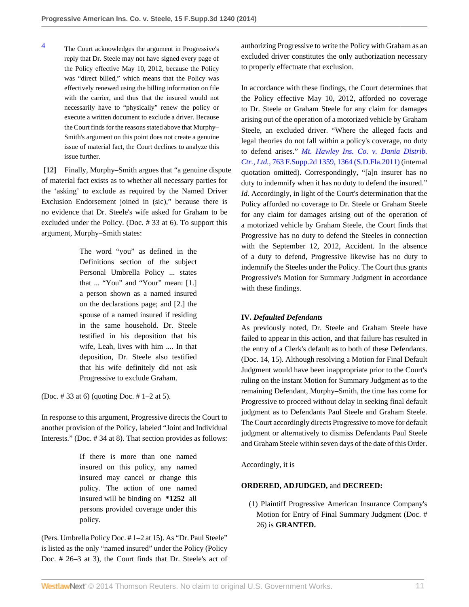<span id="page-10-1"></span>[4](#page-9-1) The Court acknowledges the argument in Progressive's reply that Dr. Steele may not have signed every page of the Policy effective May 10, 2012, because the Policy was "direct billed," which means that the Policy was effectively renewed using the billing information on file with the carrier, and thus that the insured would not necessarily have to "physically" renew the policy or execute a written document to exclude a driver. Because the Court finds for the reasons stated above that Murphy– Smith's argument on this point does not create a genuine issue of material fact, the Court declines to analyze this issue further.

<span id="page-10-0"></span>**[\[12\]](#page-2-4)** Finally, Murphy–Smith argues that "a genuine dispute of material fact exists as to whether all necessary parties for the 'asking' to exclude as required by the Named Driver Exclusion Endorsement joined in (sic)," because there is no evidence that Dr. Steele's wife asked for Graham to be excluded under the Policy. (Doc. # 33 at 6). To support this argument, Murphy–Smith states:

> The word "you" as defined in the Definitions section of the subject Personal Umbrella Policy ... states that ... "You" and "Your" mean: [1.] a person shown as a named insured on the declarations page; and [2.] the spouse of a named insured if residing in the same household. Dr. Steele testified in his deposition that his wife, Leah, lives with him .... In that deposition, Dr. Steele also testified that his wife definitely did not ask Progressive to exclude Graham.

(Doc. # 33 at 6) (quoting Doc. # 1–2 at 5).

In response to this argument, Progressive directs the Court to another provision of the Policy, labeled "Joint and Individual Interests." (Doc. # 34 at 8). That section provides as follows:

> If there is more than one named insured on this policy, any named insured may cancel or change this policy. The action of one named insured will be binding on **\*1252** all persons provided coverage under this policy.

(Pers. Umbrella Policy Doc. # 1–2 at 15). As "Dr. Paul Steele" is listed as the only "named insured" under the Policy (Policy Doc. # 26–3 at 3), the Court finds that Dr. Steele's act of authorizing Progressive to write the Policy with Graham as an excluded driver constitutes the only authorization necessary to properly effectuate that exclusion.

In accordance with these findings, the Court determines that the Policy effective May 10, 2012, afforded no coverage to Dr. Steele or Graham Steele for any claim for damages arising out of the operation of a motorized vehicle by Graham Steele, an excluded driver. "Where the alleged facts and legal theories do not fall within a policy's coverage, no duty to defend arises." *[Mt. Hawley Ins. Co. v. Dania Distrib.](http://www.westlaw.com/Link/Document/FullText?findType=Y&serNum=2024536268&pubNum=0004637&fi=co_pp_sp_4637_1364&originationContext=document&vr=3.0&rs=cblt1.0&transitionType=DocumentItem&contextData=(sc.History*oc.MyResearchHistoryDocuments)#co_pp_sp_4637_1364) Ctr., Ltd.,* [763 F.Supp.2d 1359, 1364 \(S.D.Fla.2011\)](http://www.westlaw.com/Link/Document/FullText?findType=Y&serNum=2024536268&pubNum=0004637&fi=co_pp_sp_4637_1364&originationContext=document&vr=3.0&rs=cblt1.0&transitionType=DocumentItem&contextData=(sc.History*oc.MyResearchHistoryDocuments)#co_pp_sp_4637_1364) (internal quotation omitted). Correspondingly, "[a]n insurer has no duty to indemnify when it has no duty to defend the insured." *Id.* Accordingly, in light of the Court's determination that the Policy afforded no coverage to Dr. Steele or Graham Steele for any claim for damages arising out of the operation of a motorized vehicle by Graham Steele, the Court finds that Progressive has no duty to defend the Steeles in connection with the September 12, 2012, Accident. In the absence of a duty to defend, Progressive likewise has no duty to indemnify the Steeles under the Policy. The Court thus grants Progressive's Motion for Summary Judgment in accordance with these findings.

## **IV.** *Defaulted Defendants*

As previously noted, Dr. Steele and Graham Steele have failed to appear in this action, and that failure has resulted in the entry of a Clerk's default as to both of these Defendants. (Doc. 14, 15). Although resolving a Motion for Final Default Judgment would have been inappropriate prior to the Court's ruling on the instant Motion for Summary Judgment as to the remaining Defendant, Murphy–Smith, the time has come for Progressive to proceed without delay in seeking final default judgment as to Defendants Paul Steele and Graham Steele. The Court accordingly directs Progressive to move for default judgment or alternatively to dismiss Defendants Paul Steele and Graham Steele within seven days of the date of this Order.

Accordingly, it is

## **ORDERED, ADJUDGED,** and **DECREED:**

(1) Plaintiff Progressive American Insurance Company's Motion for Entry of Final Summary Judgment (Doc. # 26) is **GRANTED.**